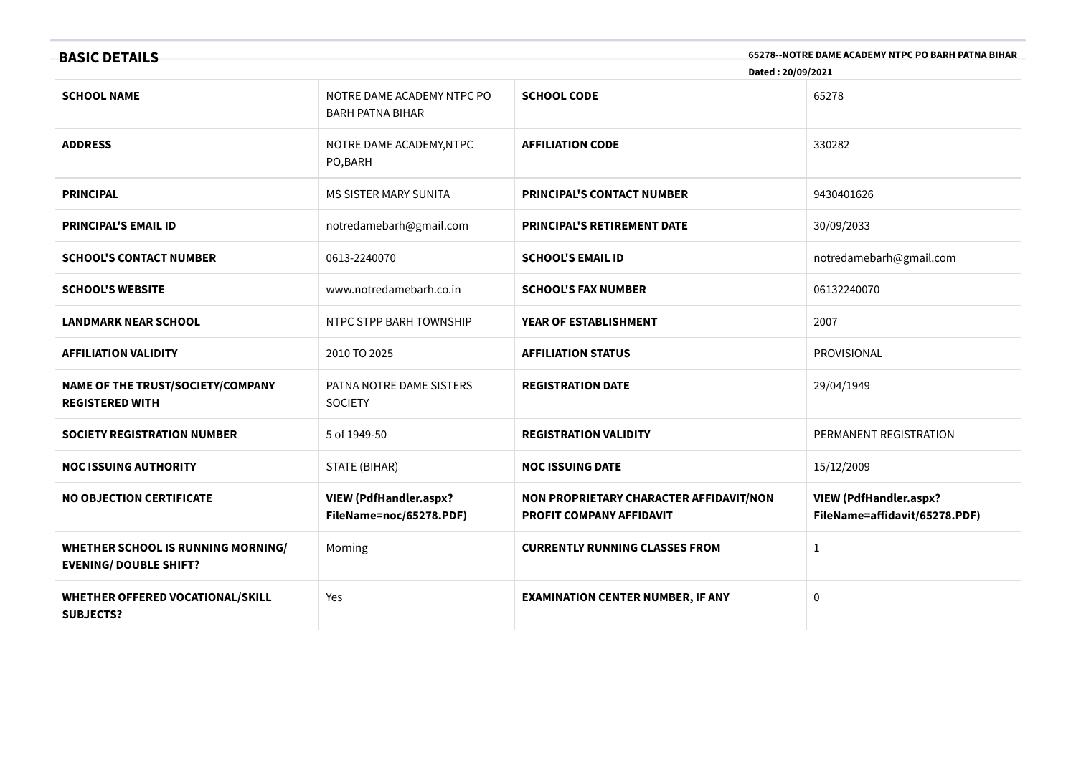| 65278--NOTRE DAME ACADEMY NTPC PO BARH PATNA BIHAR<br><b>BASIC DETAILS</b><br>Dated: 20/09/2021 |                                                          |                                                                     |                                                                |  |
|-------------------------------------------------------------------------------------------------|----------------------------------------------------------|---------------------------------------------------------------------|----------------------------------------------------------------|--|
| <b>SCHOOL NAME</b>                                                                              | NOTRE DAME ACADEMY NTPC PO<br><b>BARH PATNA BIHAR</b>    | <b>SCHOOL CODE</b>                                                  | 65278                                                          |  |
| <b>ADDRESS</b>                                                                                  | NOTRE DAME ACADEMY, NTPC<br>PO, BARH                     | <b>AFFILIATION CODE</b>                                             | 330282                                                         |  |
| <b>PRINCIPAL</b>                                                                                | <b>MS SISTER MARY SUNITA</b>                             | <b>PRINCIPAL'S CONTACT NUMBER</b>                                   | 9430401626                                                     |  |
| <b>PRINCIPAL'S EMAIL ID</b>                                                                     | notredamebarh@gmail.com                                  | <b>PRINCIPAL'S RETIREMENT DATE</b>                                  | 30/09/2033                                                     |  |
| <b>SCHOOL'S CONTACT NUMBER</b>                                                                  | 0613-2240070                                             | <b>SCHOOL'S EMAIL ID</b>                                            | notredamebarh@gmail.com                                        |  |
| <b>SCHOOL'S WEBSITE</b>                                                                         | www.notredamebarh.co.in                                  | <b>SCHOOL'S FAX NUMBER</b>                                          | 06132240070                                                    |  |
| <b>LANDMARK NEAR SCHOOL</b>                                                                     | NTPC STPP BARH TOWNSHIP                                  | YEAR OF ESTABLISHMENT                                               | 2007                                                           |  |
| <b>AFFILIATION VALIDITY</b>                                                                     | 2010 TO 2025                                             | <b>AFFILIATION STATUS</b>                                           | PROVISIONAL                                                    |  |
| NAME OF THE TRUST/SOCIETY/COMPANY<br><b>REGISTERED WITH</b>                                     | PATNA NOTRE DAME SISTERS<br><b>SOCIETY</b>               | <b>REGISTRATION DATE</b>                                            | 29/04/1949                                                     |  |
| <b>SOCIETY REGISTRATION NUMBER</b>                                                              | 5 of 1949-50                                             | <b>REGISTRATION VALIDITY</b>                                        | PERMANENT REGISTRATION                                         |  |
| <b>NOC ISSUING AUTHORITY</b>                                                                    | STATE (BIHAR)                                            | <b>NOC ISSUING DATE</b>                                             | 15/12/2009                                                     |  |
| <b>NO OBJECTION CERTIFICATE</b>                                                                 | <b>VIEW (PdfHandler.aspx?</b><br>FileName=noc/65278.PDF) | NON PROPRIETARY CHARACTER AFFIDAVIT/NON<br>PROFIT COMPANY AFFIDAVIT | <b>VIEW (PdfHandler.aspx?</b><br>FileName=affidavit/65278.PDF) |  |
| <b>WHETHER SCHOOL IS RUNNING MORNING/</b><br><b>EVENING/ DOUBLE SHIFT?</b>                      | Morning                                                  | <b>CURRENTLY RUNNING CLASSES FROM</b>                               | $\mathbf{1}$                                                   |  |
| WHETHER OFFERED VOCATIONAL/SKILL<br><b>SUBJECTS?</b>                                            | Yes                                                      | <b>EXAMINATION CENTER NUMBER, IF ANY</b>                            | 0                                                              |  |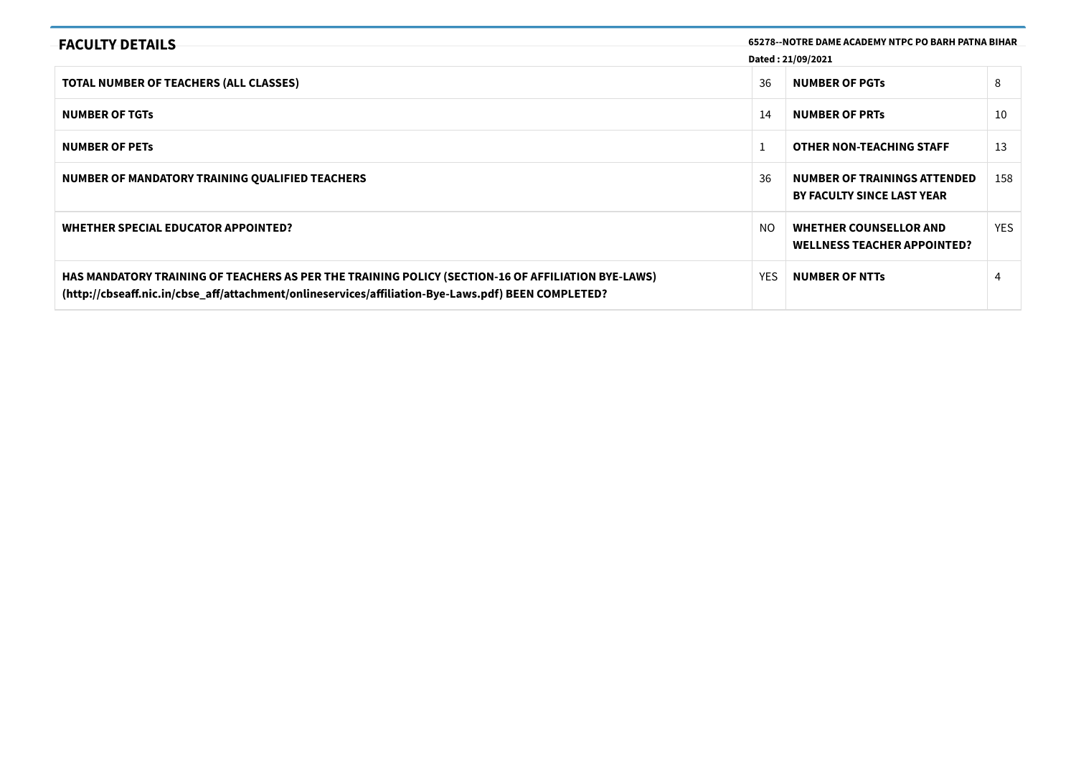| <b>FACULTY DETAILS</b>                                                                                                                                                                                    |            | 65278--NOTRE DAME ACADEMY NTPC PO BARH PATNA BIHAR                  |      |
|-----------------------------------------------------------------------------------------------------------------------------------------------------------------------------------------------------------|------------|---------------------------------------------------------------------|------|
|                                                                                                                                                                                                           |            | Dated: 21/09/2021                                                   |      |
| <b>TOTAL NUMBER OF TEACHERS (ALL CLASSES)</b>                                                                                                                                                             | 36         | <b>NUMBER OF PGTS</b>                                               | 8    |
| <b>NUMBER OF TGTS</b>                                                                                                                                                                                     | 14         | <b>NUMBER OF PRTS</b>                                               | 10   |
| <b>NUMBER OF PETS</b>                                                                                                                                                                                     |            | <b>OTHER NON-TEACHING STAFF</b>                                     | 13   |
| NUMBER OF MANDATORY TRAINING QUALIFIED TEACHERS                                                                                                                                                           | 36         | NUMBER OF TRAININGS ATTENDED<br><b>BY FACULTY SINCE LAST YEAR</b>   | 158  |
| WHETHER SPECIAL EDUCATOR APPOINTED?                                                                                                                                                                       | NO.        | <b>WHETHER COUNSELLOR AND</b><br><b>WELLNESS TEACHER APPOINTED?</b> | YES. |
| HAS MANDATORY TRAINING OF TEACHERS AS PER THE TRAINING POLICY (SECTION-16 OF AFFILIATION BYE-LAWS)<br>(http://cbseaff.nic.in/cbse_aff/attachment/onlineservices/affiliation-Bye-Laws.pdf) BEEN COMPLETED? | <b>YES</b> | <b>NUMBER OF NTTS</b>                                               | 4    |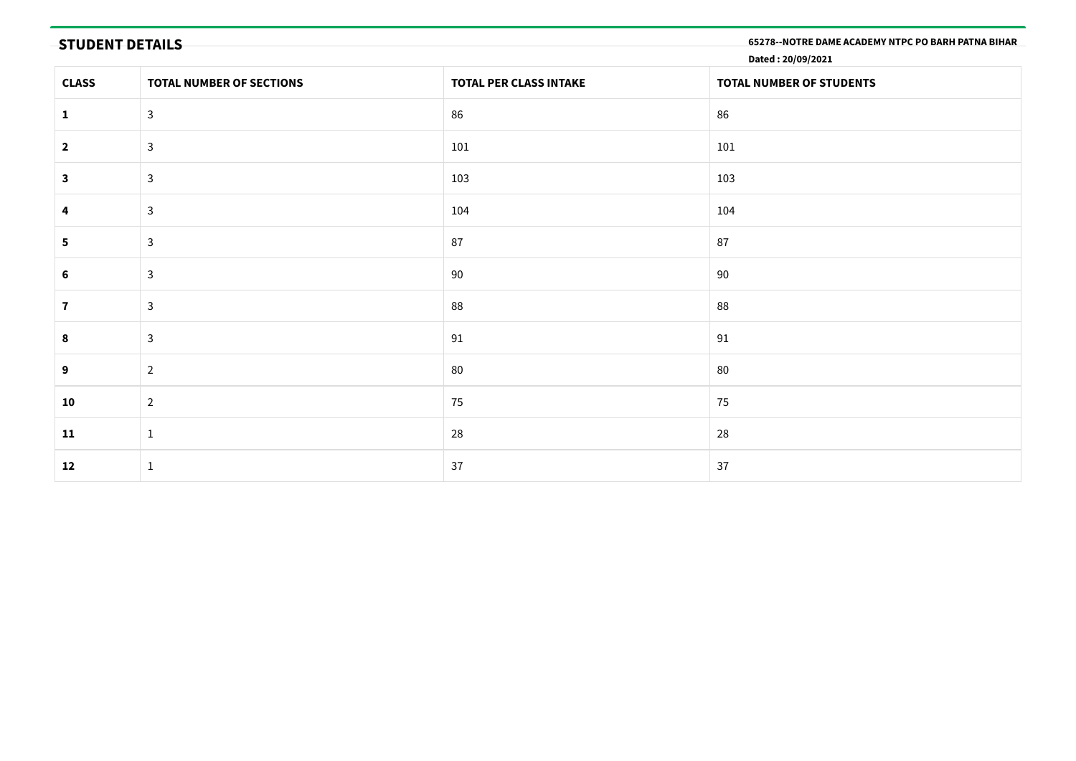| <b>STUDENT DETAILS</b><br>65278 -- NOTRE DAME ACADEMY NTPC PO BARH PATNA BIHAR<br>Dated: 20/09/2021 |                          |                        |                          |  |  |  |
|-----------------------------------------------------------------------------------------------------|--------------------------|------------------------|--------------------------|--|--|--|
| <b>CLASS</b>                                                                                        | TOTAL NUMBER OF SECTIONS | TOTAL PER CLASS INTAKE | TOTAL NUMBER OF STUDENTS |  |  |  |
| $\mathbf{1}$                                                                                        | $\mathbf{3}$             | 86                     | 86                       |  |  |  |
| $\overline{\mathbf{2}}$                                                                             | $\mathbf{3}$             | 101                    | 101                      |  |  |  |
| 3                                                                                                   | $\mathbf{3}$             | 103                    | 103                      |  |  |  |
| 4                                                                                                   | $\mathbf{3}$             | 104                    | 104                      |  |  |  |
| 5                                                                                                   | $\mathbf{3}$             | 87                     | 87                       |  |  |  |
| $6\phantom{1}$                                                                                      | $\mathbf{3}$             | 90                     | 90                       |  |  |  |
| $\mathbf{7}$                                                                                        | $\mathbf{3}$             | 88                     | 88                       |  |  |  |
| 8                                                                                                   | $\mathbf{3}$             | 91                     | 91                       |  |  |  |
| 9                                                                                                   | $\overline{2}$           | 80                     | 80                       |  |  |  |
| 10                                                                                                  | $\overline{2}$           | 75                     | 75                       |  |  |  |
| 11                                                                                                  | $\mathbf{1}$             | 28                     | 28                       |  |  |  |
| 12                                                                                                  | $\mathbf{1}$             | 37                     | 37                       |  |  |  |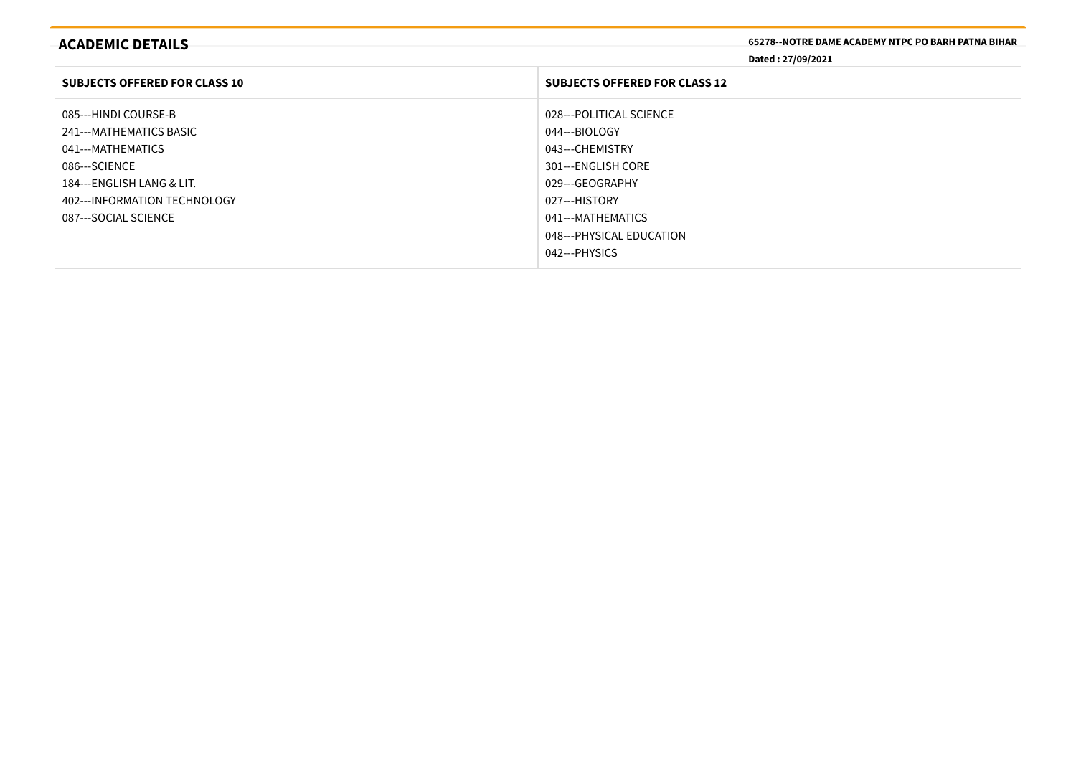| <b>ACADEMIC DETAILS</b>              | <b>65278--NOTRE DAME ACADEMY NTPC PO BARH PATNA BIHAR</b><br>Dated: 27/09/2021 |
|--------------------------------------|--------------------------------------------------------------------------------|
| <b>SUBJECTS OFFERED FOR CLASS 10</b> | <b>SUBJECTS OFFERED FOR CLASS 12</b>                                           |
| 085---HINDI COURSE-B                 | 028---POLITICAL SCIENCE                                                        |
| 241---MATHEMATICS BASIC              | 044---BIOLOGY                                                                  |
| 041---MATHEMATICS                    | 043---CHEMISTRY                                                                |
| 086---SCIENCE                        | 301---ENGLISH CORE                                                             |
| 184---ENGLISH LANG & LIT.            | 029---GEOGRAPHY                                                                |
| 402--- INFORMATION TECHNOLOGY        | 027---HISTORY                                                                  |
| 087---SOCIAL SCIENCE                 | 041---MATHEMATICS                                                              |
|                                      | 048--- PHYSICAL EDUCATION                                                      |
|                                      | 042---PHYSICS                                                                  |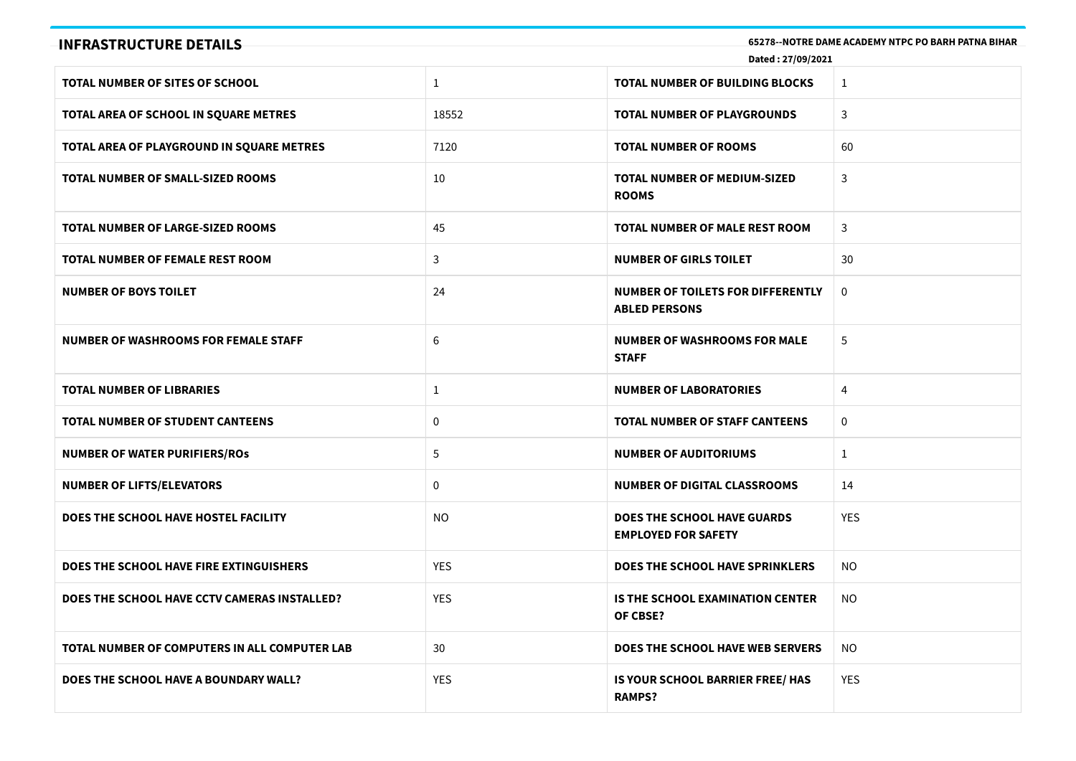| <b>INFRASTRUCTURE DETAILS</b>                 |                 | Dated: 27/09/2021                                                | 65278--NOTRE DAME ACADEMY NTPC PO BARH PATNA BIHAR |
|-----------------------------------------------|-----------------|------------------------------------------------------------------|----------------------------------------------------|
| TOTAL NUMBER OF SITES OF SCHOOL               | $\mathbf{1}$    | <b>TOTAL NUMBER OF BUILDING BLOCKS</b>                           | $\mathbf{1}$                                       |
| TOTAL AREA OF SCHOOL IN SQUARE METRES         | 18552           | TOTAL NUMBER OF PLAYGROUNDS                                      | 3                                                  |
| TOTAL AREA OF PLAYGROUND IN SQUARE METRES     | 7120            | <b>TOTAL NUMBER OF ROOMS</b>                                     | 60                                                 |
| <b>TOTAL NUMBER OF SMALL-SIZED ROOMS</b>      | 10              | TOTAL NUMBER OF MEDIUM-SIZED<br><b>ROOMS</b>                     | 3                                                  |
| <b>TOTAL NUMBER OF LARGE-SIZED ROOMS</b>      | 45              | TOTAL NUMBER OF MALE REST ROOM                                   | 3                                                  |
| TOTAL NUMBER OF FEMALE REST ROOM              | 3               | <b>NUMBER OF GIRLS TOILET</b>                                    | 30                                                 |
| <b>NUMBER OF BOYS TOILET</b>                  | 24              | NUMBER OF TOILETS FOR DIFFERENTLY<br><b>ABLED PERSONS</b>        | $\mathbf{0}$                                       |
| <b>NUMBER OF WASHROOMS FOR FEMALE STAFF</b>   | 6               | <b>NUMBER OF WASHROOMS FOR MALE</b><br><b>STAFF</b>              | 5                                                  |
| <b>TOTAL NUMBER OF LIBRARIES</b>              | $\mathbf{1}$    | <b>NUMBER OF LABORATORIES</b>                                    | 4                                                  |
| <b>TOTAL NUMBER OF STUDENT CANTEENS</b>       | $\mathbf 0$     | <b>TOTAL NUMBER OF STAFF CANTEENS</b>                            | 0                                                  |
| <b>NUMBER OF WATER PURIFIERS/ROS</b>          | 5               | <b>NUMBER OF AUDITORIUMS</b>                                     | $\mathbf{1}$                                       |
| <b>NUMBER OF LIFTS/ELEVATORS</b>              | $\mathbf 0$     | <b>NUMBER OF DIGITAL CLASSROOMS</b>                              | 14                                                 |
| DOES THE SCHOOL HAVE HOSTEL FACILITY          | <b>NO</b>       | <b>DOES THE SCHOOL HAVE GUARDS</b><br><b>EMPLOYED FOR SAFETY</b> | <b>YES</b>                                         |
| DOES THE SCHOOL HAVE FIRE EXTINGUISHERS       | <b>YES</b>      | <b>DOES THE SCHOOL HAVE SPRINKLERS</b>                           | NO.                                                |
| DOES THE SCHOOL HAVE CCTV CAMERAS INSTALLED?  | <b>YES</b>      | IS THE SCHOOL EXAMINATION CENTER<br>OF CBSE?                     | NO.                                                |
| TOTAL NUMBER OF COMPUTERS IN ALL COMPUTER LAB | 30 <sup>°</sup> | DOES THE SCHOOL HAVE WEB SERVERS                                 | <b>NO</b>                                          |
| DOES THE SCHOOL HAVE A BOUNDARY WALL?         | <b>YES</b>      | IS YOUR SCHOOL BARRIER FREE/ HAS<br><b>RAMPS?</b>                | <b>YES</b>                                         |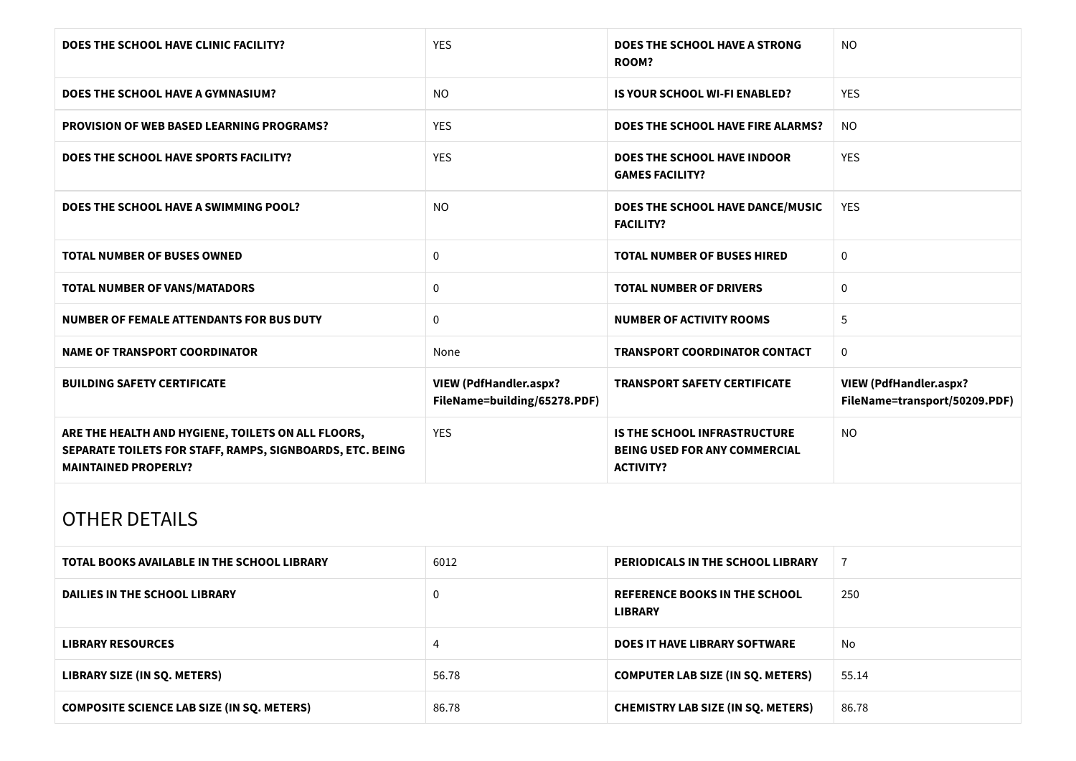| DOES THE SCHOOL HAVE CLINIC FACILITY?                                                                                                          | <b>YES</b>                                                    | <b>DOES THE SCHOOL HAVE A STRONG</b><br><b>ROOM?</b>                                            | NO                                                             |
|------------------------------------------------------------------------------------------------------------------------------------------------|---------------------------------------------------------------|-------------------------------------------------------------------------------------------------|----------------------------------------------------------------|
| DOES THE SCHOOL HAVE A GYMNASIUM?                                                                                                              | <b>NO</b>                                                     | <b>IS YOUR SCHOOL WI-FI ENABLED?</b>                                                            | <b>YES</b>                                                     |
| <b>PROVISION OF WEB BASED LEARNING PROGRAMS?</b>                                                                                               | YES                                                           | DOES THE SCHOOL HAVE FIRE ALARMS?                                                               | <b>NO</b>                                                      |
| DOES THE SCHOOL HAVE SPORTS FACILITY?                                                                                                          | <b>YES</b>                                                    | <b>DOES THE SCHOOL HAVE INDOOR</b><br><b>GAMES FACILITY?</b>                                    | <b>YES</b>                                                     |
| DOES THE SCHOOL HAVE A SWIMMING POOL?                                                                                                          | <b>NO</b>                                                     | DOES THE SCHOOL HAVE DANCE/MUSIC<br><b>FACILITY?</b>                                            | <b>YES</b>                                                     |
| <b>TOTAL NUMBER OF BUSES OWNED</b>                                                                                                             | 0                                                             | <b>TOTAL NUMBER OF BUSES HIRED</b>                                                              | $\mathbf 0$                                                    |
| <b>TOTAL NUMBER OF VANS/MATADORS</b>                                                                                                           | $\mathbf 0$                                                   | <b>TOTAL NUMBER OF DRIVERS</b>                                                                  | $\mathbf 0$                                                    |
| NUMBER OF FEMALE ATTENDANTS FOR BUS DUTY                                                                                                       | $\mathbf 0$                                                   | <b>NUMBER OF ACTIVITY ROOMS</b>                                                                 | 5                                                              |
| <b>NAME OF TRANSPORT COORDINATOR</b>                                                                                                           | None                                                          | <b>TRANSPORT COORDINATOR CONTACT</b>                                                            | $\mathbf 0$                                                    |
| <b>BUILDING SAFETY CERTIFICATE</b>                                                                                                             | <b>VIEW (PdfHandler.aspx?</b><br>FileName=building/65278.PDF) | <b>TRANSPORT SAFETY CERTIFICATE</b>                                                             | <b>VIEW (PdfHandler.aspx?</b><br>FileName=transport/50209.PDF) |
| ARE THE HEALTH AND HYGIENE, TOILETS ON ALL FLOORS,<br>SEPARATE TOILETS FOR STAFF, RAMPS, SIGNBOARDS, ETC. BEING<br><b>MAINTAINED PROPERLY?</b> | <b>YES</b>                                                    | <b>IS THE SCHOOL INFRASTRUCTURE</b><br><b>BEING USED FOR ANY COMMERCIAL</b><br><b>ACTIVITY?</b> | <b>NO</b>                                                      |
| <b>OTHER DETAILS</b>                                                                                                                           |                                                               |                                                                                                 |                                                                |

| TOTAL BOOKS AVAILABLE IN THE SCHOOL LIBRARY       | 6012  | <b>PERIODICALS IN THE SCHOOL LIBRARY</b>               |       |
|---------------------------------------------------|-------|--------------------------------------------------------|-------|
| DAILIES IN THE SCHOOL LIBRARY                     |       | <b>REFERENCE BOOKS IN THE SCHOOL</b><br><b>LIBRARY</b> | 250   |
| <b>LIBRARY RESOURCES</b>                          |       | <b>DOES IT HAVE LIBRARY SOFTWARE</b>                   | No    |
| <b>LIBRARY SIZE (IN SQ. METERS)</b>               | 56.78 | <b>COMPUTER LAB SIZE (IN SQ. METERS)</b>               | 55.14 |
| <b>COMPOSITE SCIENCE LAB SIZE (IN SQ. METERS)</b> | 86.78 | <b>CHEMISTRY LAB SIZE (IN SQ. METERS)</b>              | 86.78 |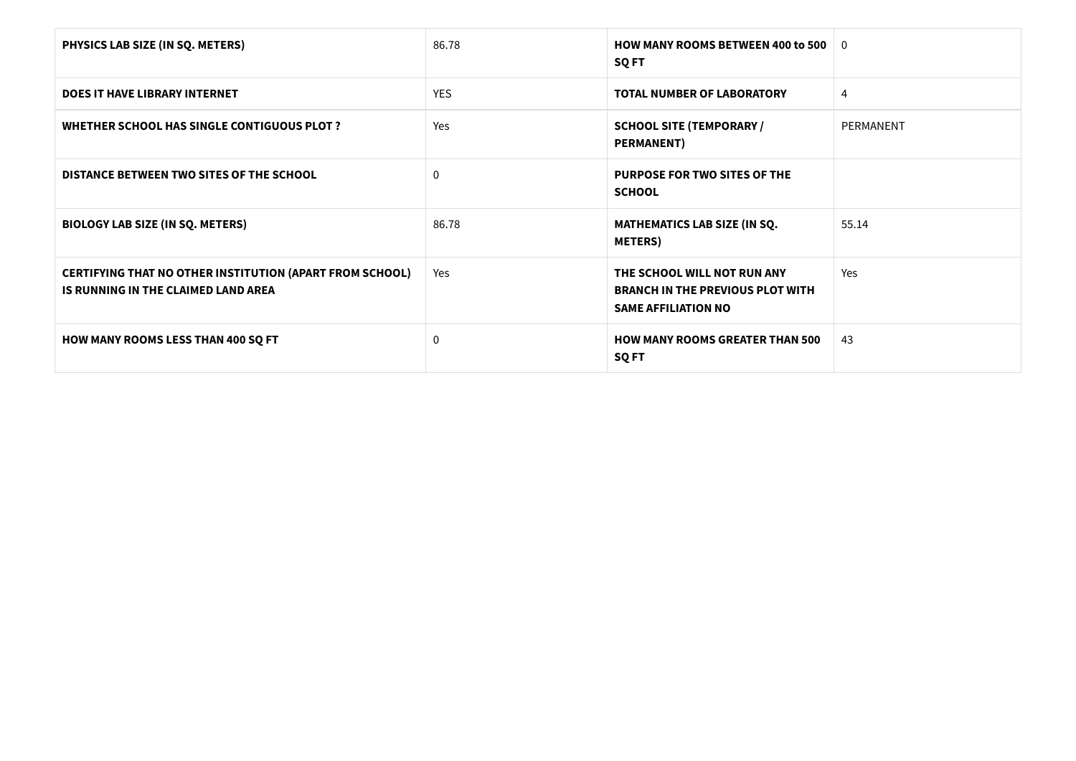| PHYSICS LAB SIZE (IN SQ. METERS)                                                                       | 86.78        | <b>HOW MANY ROOMS BETWEEN 400 to 500 <math>\pm</math> 0</b><br><b>SQ FT</b>                          |           |
|--------------------------------------------------------------------------------------------------------|--------------|------------------------------------------------------------------------------------------------------|-----------|
| <b>DOES IT HAVE LIBRARY INTERNET</b>                                                                   | <b>YES</b>   | <b>TOTAL NUMBER OF LABORATORY</b>                                                                    | 4         |
| WHETHER SCHOOL HAS SINGLE CONTIGUOUS PLOT ?                                                            | Yes          | <b>SCHOOL SITE (TEMPORARY /</b><br><b>PERMANENT)</b>                                                 | PERMANENT |
| DISTANCE BETWEEN TWO SITES OF THE SCHOOL                                                               | $\mathbf{0}$ | <b>PURPOSE FOR TWO SITES OF THE</b><br><b>SCHOOL</b>                                                 |           |
| <b>BIOLOGY LAB SIZE (IN SQ. METERS)</b>                                                                | 86.78        | <b>MATHEMATICS LAB SIZE (IN SQ.</b><br><b>METERS</b> )                                               | 55.14     |
| <b>CERTIFYING THAT NO OTHER INSTITUTION (APART FROM SCHOOL)</b><br>IS RUNNING IN THE CLAIMED LAND AREA | Yes          | THE SCHOOL WILL NOT RUN ANY<br><b>BRANCH IN THE PREVIOUS PLOT WITH</b><br><b>SAME AFFILIATION NO</b> | Yes       |
| <b>HOW MANY ROOMS LESS THAN 400 SQ FT</b>                                                              | $\mathbf 0$  | <b>HOW MANY ROOMS GREATER THAN 500</b><br>SQ FT                                                      | 43        |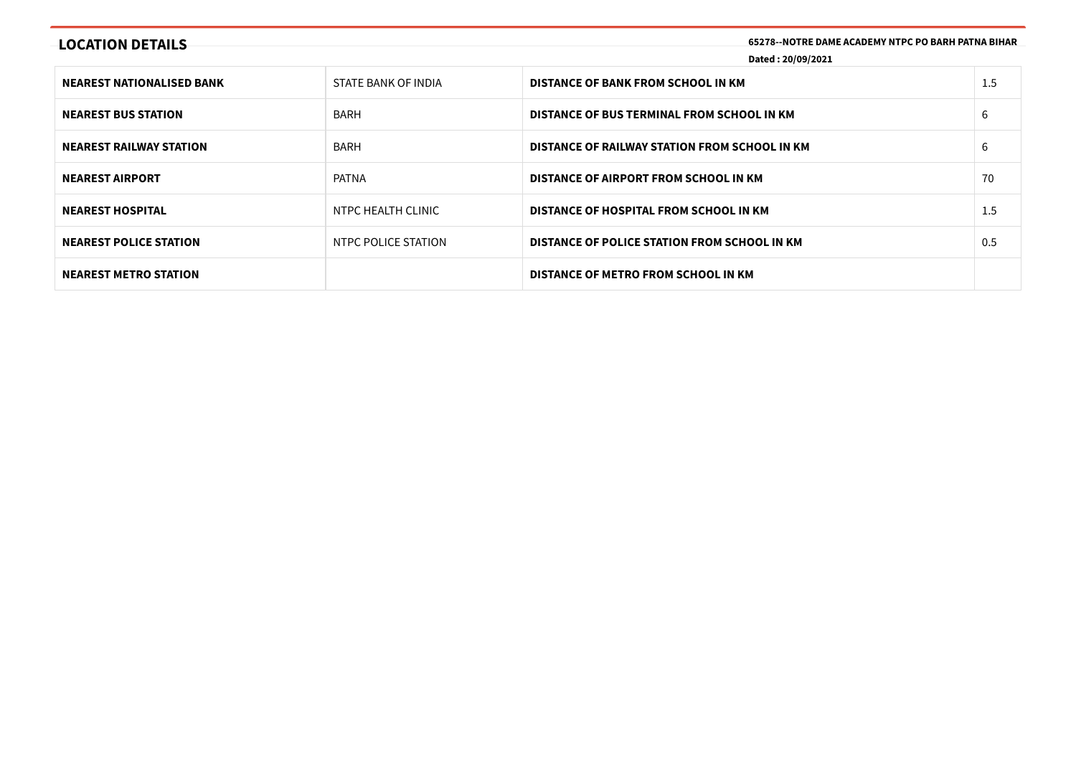| <b>LOCATION DETAILS</b>          | 65278--NOTRE DAME ACADEMY NTPC PO BARH PATNA BIHAR<br>Dated: 20/09/2021 |                                               |     |
|----------------------------------|-------------------------------------------------------------------------|-----------------------------------------------|-----|
| <b>NEAREST NATIONALISED BANK</b> | STATE BANK OF INDIA                                                     | DISTANCE OF BANK FROM SCHOOL IN KM            | 1.5 |
| <b>NEAREST BUS STATION</b>       | <b>BARH</b>                                                             | DISTANCE OF BUS TERMINAL FROM SCHOOL IN KM    | 6   |
| <b>NEAREST RAILWAY STATION</b>   | <b>BARH</b>                                                             | DISTANCE OF RAILWAY STATION FROM SCHOOL IN KM | 6   |
| <b>NEAREST AIRPORT</b>           | PATNA                                                                   | DISTANCE OF AIRPORT FROM SCHOOL IN KM         | 70  |
| <b>NEAREST HOSPITAL</b>          | NTPC HEALTH CLINIC                                                      | DISTANCE OF HOSPITAL FROM SCHOOL IN KM        | 1.5 |
| <b>NEAREST POLICE STATION</b>    | NTPC POLICE STATION                                                     | DISTANCE OF POLICE STATION FROM SCHOOL IN KM  | 0.5 |
| <b>NEAREST METRO STATION</b>     |                                                                         | DISTANCE OF METRO FROM SCHOOL IN KM           |     |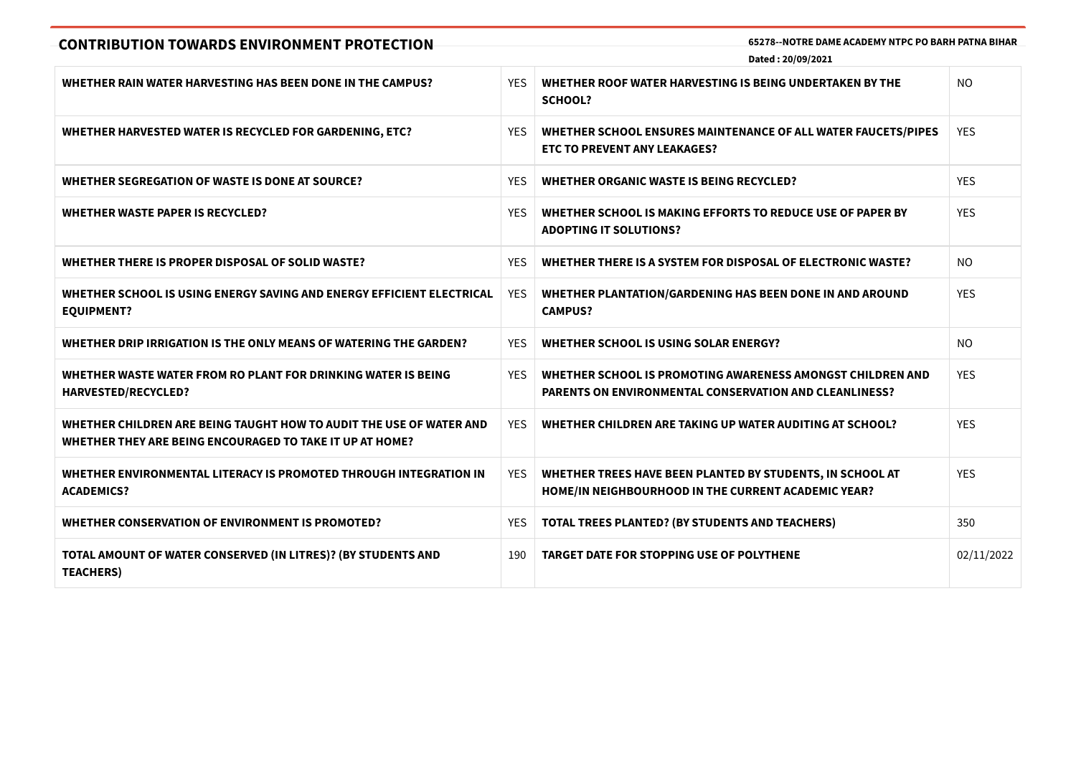| <b>CONTRIBUTION TOWARDS ENVIRONMENT PROTECTION</b>                                                                              |            | 65278--NOTRE DAME ACADEMY NTPC PO BARH PATNA BIHAR<br>Dated: 20/09/2021                                              |                |
|---------------------------------------------------------------------------------------------------------------------------------|------------|----------------------------------------------------------------------------------------------------------------------|----------------|
| WHETHER RAIN WATER HARVESTING HAS BEEN DONE IN THE CAMPUS?                                                                      | <b>YES</b> | WHETHER ROOF WATER HARVESTING IS BEING UNDERTAKEN BY THE<br><b>SCHOOL?</b>                                           | <b>NO</b>      |
| WHETHER HARVESTED WATER IS RECYCLED FOR GARDENING, ETC?                                                                         | YES.       | WHETHER SCHOOL ENSURES MAINTENANCE OF ALL WATER FAUCETS/PIPES<br><b>ETC TO PREVENT ANY LEAKAGES?</b>                 | <b>YES</b>     |
| WHETHER SEGREGATION OF WASTE IS DONE AT SOURCE?                                                                                 | <b>YES</b> | <b>WHETHER ORGANIC WASTE IS BEING RECYCLED?</b>                                                                      | <b>YES</b>     |
| <b>WHETHER WASTE PAPER IS RECYCLED?</b>                                                                                         | <b>YES</b> | WHETHER SCHOOL IS MAKING EFFORTS TO REDUCE USE OF PAPER BY<br><b>ADOPTING IT SOLUTIONS?</b>                          | <b>YES</b>     |
| WHETHER THERE IS PROPER DISPOSAL OF SOLID WASTE?                                                                                | <b>YFS</b> | WHETHER THERE IS A SYSTEM FOR DISPOSAL OF ELECTRONIC WASTE?                                                          | N <sub>O</sub> |
| WHETHER SCHOOL IS USING ENERGY SAVING AND ENERGY EFFICIENT ELECTRICAL<br><b>EQUIPMENT?</b>                                      | <b>YES</b> | WHETHER PLANTATION/GARDENING HAS BEEN DONE IN AND AROUND<br><b>CAMPUS?</b>                                           | <b>YES</b>     |
| WHETHER DRIP IRRIGATION IS THE ONLY MEANS OF WATERING THE GARDEN?                                                               | <b>YES</b> | WHETHER SCHOOL IS USING SOLAR ENERGY?                                                                                | <b>NO</b>      |
| WHETHER WASTE WATER FROM RO PLANT FOR DRINKING WATER IS BEING<br>HARVESTED/RECYCLED?                                            | <b>YES</b> | WHETHER SCHOOL IS PROMOTING AWARENESS AMONGST CHILDREN AND<br>PARENTS ON ENVIRONMENTAL CONSERVATION AND CLEANLINESS? | <b>YES</b>     |
| WHETHER CHILDREN ARE BEING TAUGHT HOW TO AUDIT THE USE OF WATER AND<br>WHETHER THEY ARE BEING ENCOURAGED TO TAKE IT UP AT HOME? | YFS.       | WHETHER CHILDREN ARE TAKING UP WATER AUDITING AT SCHOOL?                                                             | <b>YES</b>     |
| WHETHER ENVIRONMENTAL LITERACY IS PROMOTED THROUGH INTEGRATION IN<br><b>ACADEMICS?</b>                                          | <b>YES</b> | WHETHER TREES HAVE BEEN PLANTED BY STUDENTS, IN SCHOOL AT<br>HOME/IN NEIGHBOURHOOD IN THE CURRENT ACADEMIC YEAR?     | <b>YES</b>     |
| WHETHER CONSERVATION OF ENVIRONMENT IS PROMOTED?                                                                                | <b>YES</b> | TOTAL TREES PLANTED? (BY STUDENTS AND TEACHERS)                                                                      | 350            |
| TOTAL AMOUNT OF WATER CONSERVED (IN LITRES)? (BY STUDENTS AND<br><b>TEACHERS)</b>                                               | 190        | <b>TARGET DATE FOR STOPPING USE OF POLYTHENE</b>                                                                     | 02/11/2022     |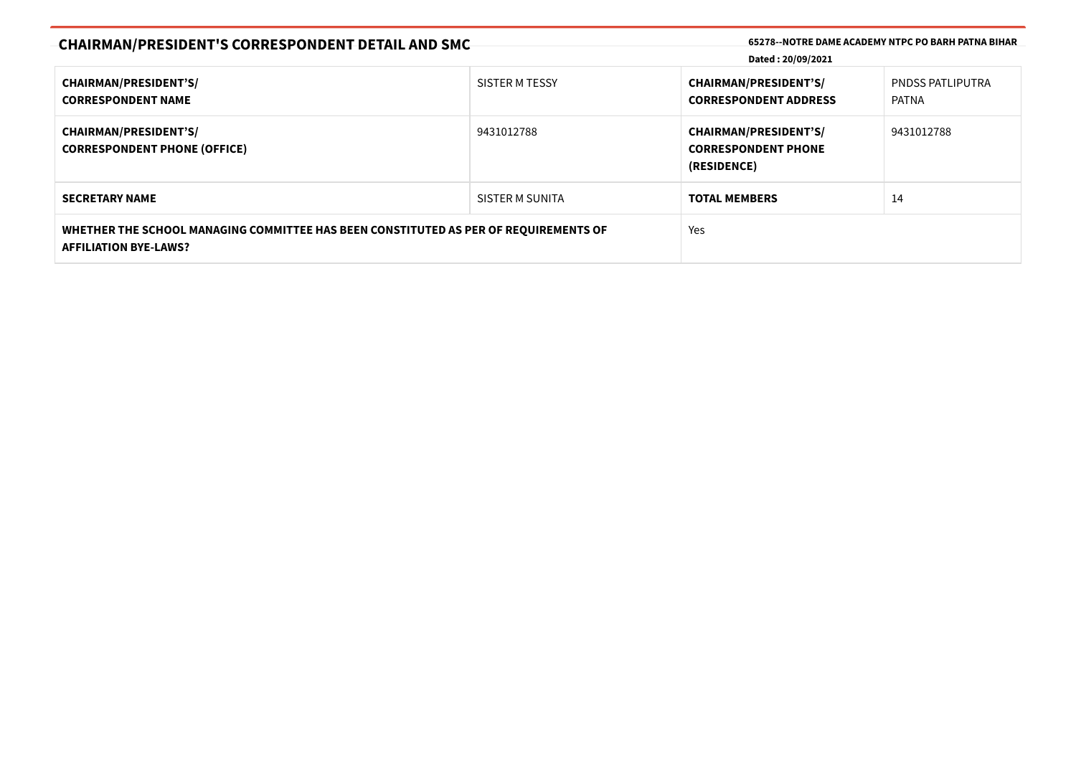| <b>CHAIRMAN/PRESIDENT'S CORRESPONDENT DETAIL AND SMC</b>                                                             |                 | Dated: 20/09/2021                                                         | 65278--NOTRE DAME ACADEMY NTPC PO BARH PATNA BIHAR |  |  |
|----------------------------------------------------------------------------------------------------------------------|-----------------|---------------------------------------------------------------------------|----------------------------------------------------|--|--|
| <b>CHAIRMAN/PRESIDENT'S/</b><br><b>CORRESPONDENT NAME</b>                                                            | SISTER M TESSY  | <b>CHAIRMAN/PRESIDENT'S/</b><br><b>CORRESPONDENT ADDRESS</b>              | <b>PNDSS PATLIPUTRA</b><br>PATNA                   |  |  |
| <b>CHAIRMAN/PRESIDENT'S/</b><br><b>CORRESPONDENT PHONE (OFFICE)</b>                                                  | 9431012788      | <b>CHAIRMAN/PRESIDENT'S/</b><br><b>CORRESPONDENT PHONE</b><br>(RESIDENCE) | 9431012788                                         |  |  |
| <b>SECRETARY NAME</b>                                                                                                | SISTER M SUNITA | <b>TOTAL MEMBERS</b>                                                      | 14                                                 |  |  |
| WHETHER THE SCHOOL MANAGING COMMITTEE HAS BEEN CONSTITUTED AS PER OF REQUIREMENTS OF<br><b>AFFILIATION BYE-LAWS?</b> |                 | Yes                                                                       |                                                    |  |  |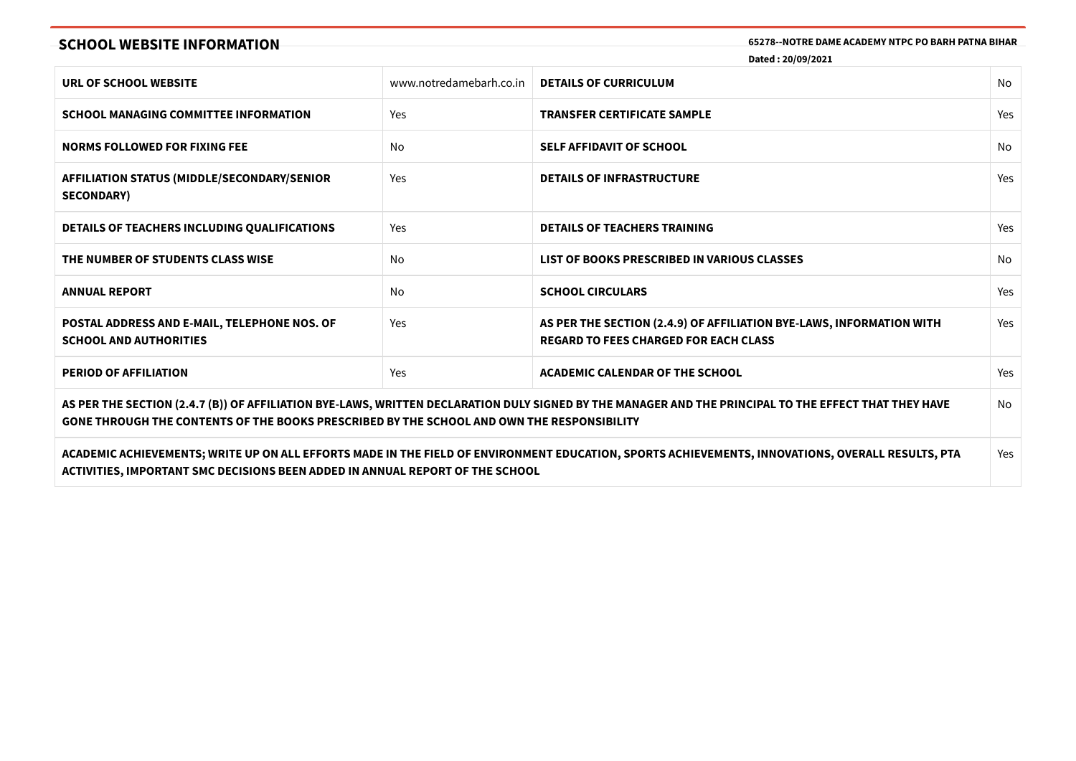**SCHOOL WEBSITE INFORMATION 65278--NOTRE DAME ACADEMY NTPC PO BARH PATNA BIHAR**

**Dated : 20/09/2021**

| URL OF SCHOOL WEBSITE                                                                                                                                                                                                                                      | www.notredamebarh.co.in | <b>DETAILS OF CURRICULUM</b>                                                                                                                      | No  |  |
|------------------------------------------------------------------------------------------------------------------------------------------------------------------------------------------------------------------------------------------------------------|-------------------------|---------------------------------------------------------------------------------------------------------------------------------------------------|-----|--|
| <b>SCHOOL MANAGING COMMITTEE INFORMATION</b>                                                                                                                                                                                                               | Yes                     | <b>TRANSFER CERTIFICATE SAMPLE</b>                                                                                                                | Yes |  |
| <b>NORMS FOLLOWED FOR FIXING FEE</b>                                                                                                                                                                                                                       | No                      | <b>SELF AFFIDAVIT OF SCHOOL</b>                                                                                                                   | No. |  |
| <b>AFFILIATION STATUS (MIDDLE/SECONDARY/SENIOR)</b><br><b>SECONDARY)</b>                                                                                                                                                                                   | Yes                     | <b>DETAILS OF INFRASTRUCTURE</b>                                                                                                                  | Yes |  |
| <b>DETAILS OF TEACHERS INCLUDING QUALIFICATIONS</b>                                                                                                                                                                                                        | Yes                     | <b>DETAILS OF TEACHERS TRAINING</b>                                                                                                               | Yes |  |
| THE NUMBER OF STUDENTS CLASS WISE                                                                                                                                                                                                                          | No                      | LIST OF BOOKS PRESCRIBED IN VARIOUS CLASSES                                                                                                       | No  |  |
| <b>ANNUAL REPORT</b>                                                                                                                                                                                                                                       | No                      | <b>SCHOOL CIRCULARS</b>                                                                                                                           | Yes |  |
| POSTAL ADDRESS AND E-MAIL, TELEPHONE NOS. OF<br><b>SCHOOL AND AUTHORITIES</b>                                                                                                                                                                              | Yes                     | AS PER THE SECTION (2.4.9) OF AFFILIATION BYE-LAWS, INFORMATION WITH<br><b>REGARD TO FEES CHARGED FOR EACH CLASS</b>                              | Yes |  |
| <b>PERIOD OF AFFILIATION</b>                                                                                                                                                                                                                               | Yes                     | <b>ACADEMIC CALENDAR OF THE SCHOOL</b>                                                                                                            | Yes |  |
| AS PER THE SECTION (2.4.7 (B)) OF AFFILIATION BYE-LAWS, WRITTEN DECLARATION DULY SIGNED BY THE MANAGER AND THE PRINCIPAL TO THE EFFECT THAT THEY HAVE<br>No.<br>GONE THROUGH THE CONTENTS OF THE BOOKS PRESCRIBED BY THE SCHOOL AND OWN THE RESPONSIBILITY |                         |                                                                                                                                                   |     |  |
| ACTIVITIES, IMPORTANT SMC DECISIONS BEEN ADDED IN ANNUAL REPORT OF THE SCHOOL                                                                                                                                                                              |                         | ACADEMIC ACHIEVEMENTS; WRITE UP ON ALL EFFORTS MADE IN THE FIELD OF ENVIRONMENT EDUCATION, SPORTS ACHIEVEMENTS, INNOVATIONS, OVERALL RESULTS, PTA | Yes |  |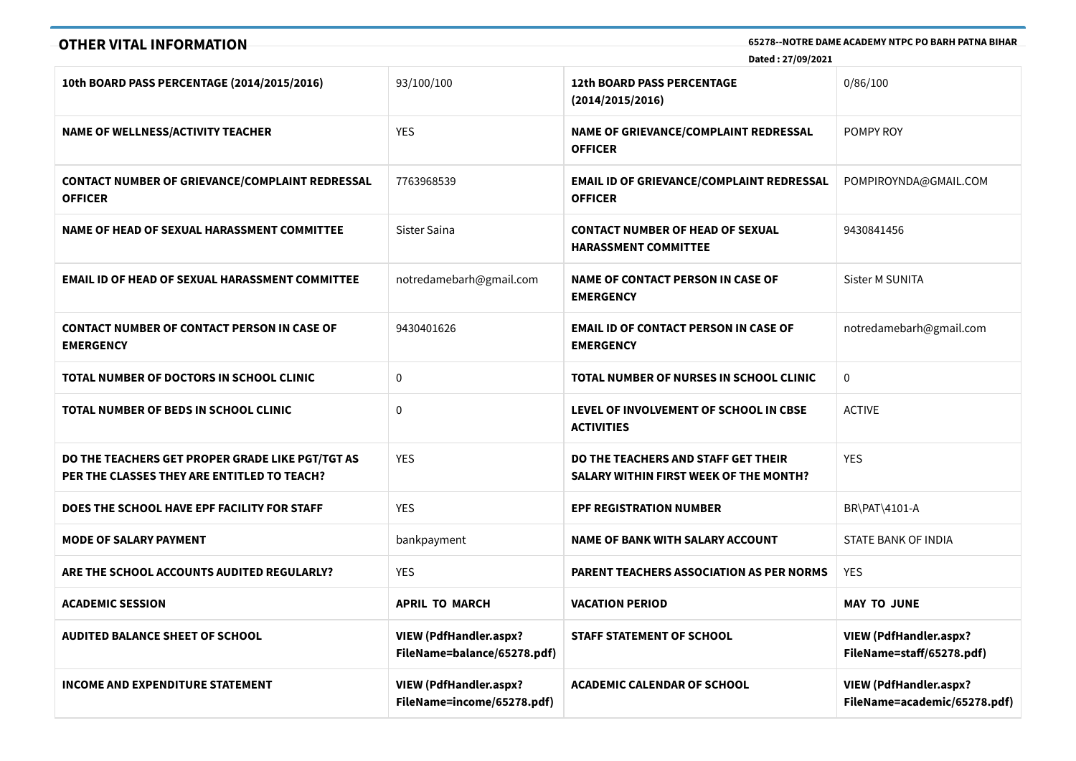# **OTHER VITAL INFORMATION 65278--NOTRE DAME ACADEMY NTPC PO BARH PATNA BIHAR**

**Dated : 27/09/2021**

| 10th BOARD PASS PERCENTAGE (2014/2015/2016)                                                     | 93/100/100                                                  | <b>12th BOARD PASS PERCENTAGE</b><br>(2014/2015/2016)                                | 0/86/100                                                      |
|-------------------------------------------------------------------------------------------------|-------------------------------------------------------------|--------------------------------------------------------------------------------------|---------------------------------------------------------------|
| <b>NAME OF WELLNESS/ACTIVITY TEACHER</b>                                                        | <b>YES</b>                                                  | NAME OF GRIEVANCE/COMPLAINT REDRESSAL<br><b>OFFICER</b>                              | POMPY ROY                                                     |
| <b>CONTACT NUMBER OF GRIEVANCE/COMPLAINT REDRESSAL</b><br><b>OFFICER</b>                        | 7763968539                                                  | <b>EMAIL ID OF GRIEVANCE/COMPLAINT REDRESSAL</b><br><b>OFFICER</b>                   | POMPIROYNDA@GMAIL.COM                                         |
| NAME OF HEAD OF SEXUAL HARASSMENT COMMITTEE                                                     | Sister Saina                                                | <b>CONTACT NUMBER OF HEAD OF SEXUAL</b><br><b>HARASSMENT COMMITTEE</b>               | 9430841456                                                    |
| <b>EMAIL ID OF HEAD OF SEXUAL HARASSMENT COMMITTEE</b>                                          | notredamebarh@gmail.com                                     | <b>NAME OF CONTACT PERSON IN CASE OF</b><br><b>EMERGENCY</b>                         | <b>Sister M SUNITA</b>                                        |
| <b>CONTACT NUMBER OF CONTACT PERSON IN CASE OF</b><br><b>EMERGENCY</b>                          | 9430401626                                                  | <b>EMAIL ID OF CONTACT PERSON IN CASE OF</b><br><b>EMERGENCY</b>                     | notredamebarh@gmail.com                                       |
| TOTAL NUMBER OF DOCTORS IN SCHOOL CLINIC                                                        | $\mathbf{0}$                                                | TOTAL NUMBER OF NURSES IN SCHOOL CLINIC                                              | $\mathbf{0}$                                                  |
| TOTAL NUMBER OF BEDS IN SCHOOL CLINIC                                                           | $\mathbf{0}$                                                | LEVEL OF INVOLVEMENT OF SCHOOL IN CBSE<br><b>ACTIVITIES</b>                          | <b>ACTIVE</b>                                                 |
| DO THE TEACHERS GET PROPER GRADE LIKE PGT/TGT AS<br>PER THE CLASSES THEY ARE ENTITLED TO TEACH? | <b>YES</b>                                                  | DO THE TEACHERS AND STAFF GET THEIR<br><b>SALARY WITHIN FIRST WEEK OF THE MONTH?</b> | <b>YES</b>                                                    |
| DOES THE SCHOOL HAVE EPF FACILITY FOR STAFF                                                     | <b>YES</b>                                                  | <b>EPF REGISTRATION NUMBER</b>                                                       | BR\PAT\4101-A                                                 |
| <b>MODE OF SALARY PAYMENT</b>                                                                   | bankpayment                                                 | <b>NAME OF BANK WITH SALARY ACCOUNT</b>                                              | STATE BANK OF INDIA                                           |
| ARE THE SCHOOL ACCOUNTS AUDITED REGULARLY?                                                      | <b>YES</b>                                                  | <b>PARENT TEACHERS ASSOCIATION AS PER NORMS</b>                                      | <b>YES</b>                                                    |
| <b>ACADEMIC SESSION</b>                                                                         | <b>APRIL TO MARCH</b>                                       | <b>VACATION PERIOD</b>                                                               | <b>MAY TO JUNE</b>                                            |
| <b>AUDITED BALANCE SHEET OF SCHOOL</b>                                                          | VIEW (PdfHandler.aspx?<br>FileName=balance/65278.pdf)       | <b>STAFF STATEMENT OF SCHOOL</b>                                                     | <b>VIEW (PdfHandler.aspx?</b><br>FileName=staff/65278.pdf)    |
| <b>INCOME AND EXPENDITURE STATEMENT</b>                                                         | <b>VIEW (PdfHandler.aspx?</b><br>FileName=income/65278.pdf) | <b>ACADEMIC CALENDAR OF SCHOOL</b>                                                   | <b>VIEW (PdfHandler.aspx?</b><br>FileName=academic/65278.pdf) |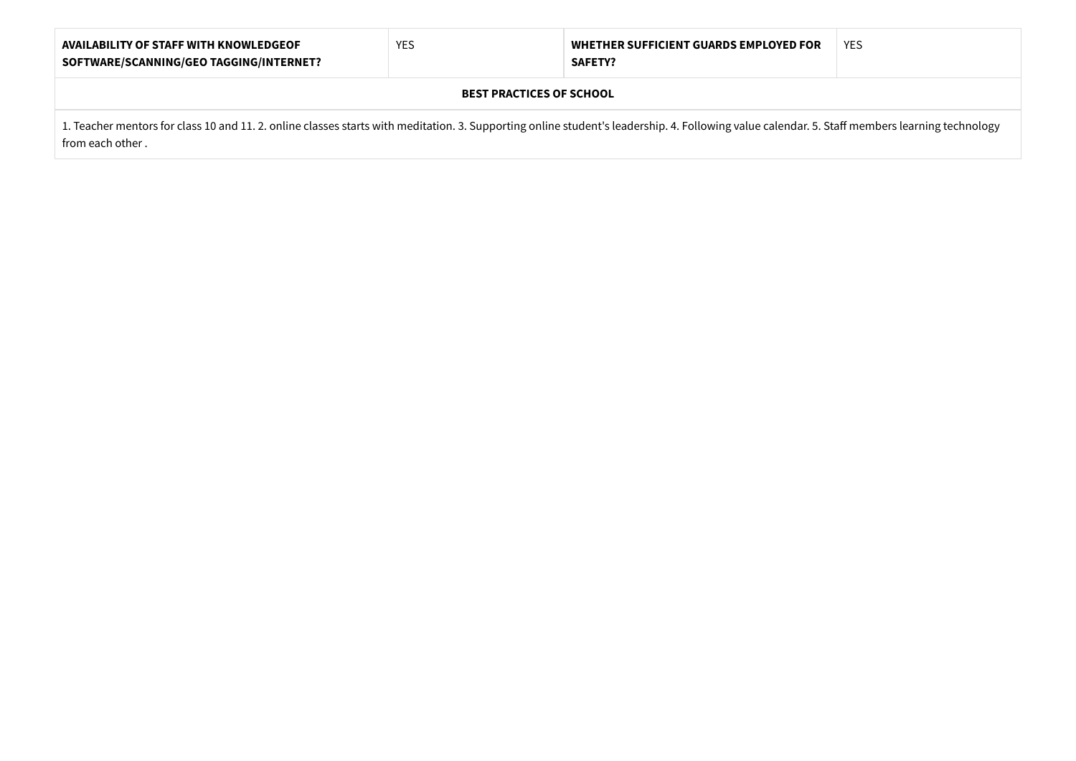| <b>AVAILABILITY OF STAFF WITH KNOWLEDGEOF</b><br>SOFTWARE/SCANNING/GEO TAGGING/INTERNET?                                                                                                                           | <b>YES</b> | WHETHER SUFFICIENT GUARDS EMPLOYED FOR<br><b>SAFETY?</b> | YES |  |  |
|--------------------------------------------------------------------------------------------------------------------------------------------------------------------------------------------------------------------|------------|----------------------------------------------------------|-----|--|--|
| <b>BEST PRACTICES OF SCHOOL</b>                                                                                                                                                                                    |            |                                                          |     |  |  |
| 1. Teacher mentors for class 10 and 11. 2. online classes starts with meditation. 3. Supporting online student's leadership. 4. Following value calendar. 5. Staff members learning technology<br>from each other. |            |                                                          |     |  |  |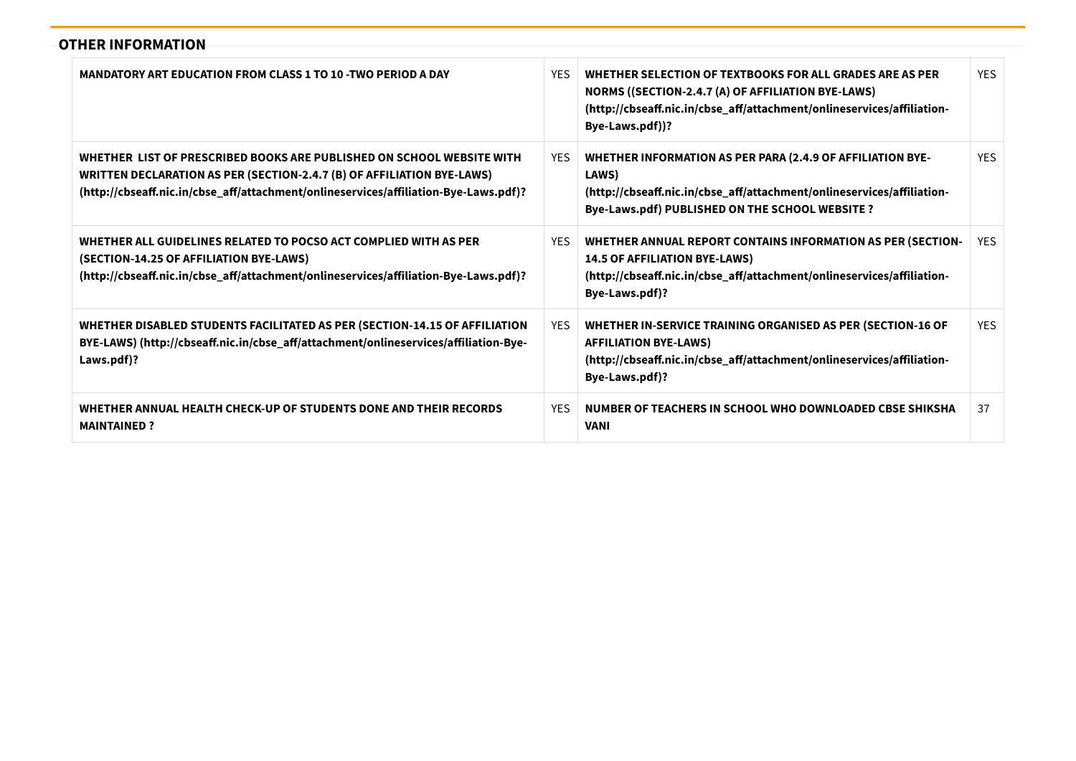# **OTHER INFORMATION**

| MANDATORY ART EDUCATION FROM CLASS 1 TO 10 -TWO PERIOD A DAY                                                                                                                                                                            | YFS.       | WHETHER SELECTION OF TEXTBOOKS FOR ALL GRADES ARE AS PER<br>NORMS ((SECTION-2.4.7 (A) OF AFFILIATION BYE-LAWS)<br>(http://cbseaff.nic.in/cbse_aff/attachment/onlineservices/affiliation-<br>Bye-Laws.pdf))? | <b>YFS</b> |
|-----------------------------------------------------------------------------------------------------------------------------------------------------------------------------------------------------------------------------------------|------------|-------------------------------------------------------------------------------------------------------------------------------------------------------------------------------------------------------------|------------|
| WHETHER LIST OF PRESCRIBED BOOKS ARE PUBLISHED ON SCHOOL WEBSITE WITH<br>WRITTEN DECLARATION AS PER (SECTION-2.4.7 (B) OF AFFILIATION BYE-LAWS)<br>(http://cbseaff.nic.in/cbse_aff/attachment/onlineservices/affiliation-Bye-Laws.pdf)? | <b>YES</b> | <b>WHETHER INFORMATION AS PER PARA (2.4.9 OF AFFILIATION BYE-</b><br>LAWS)<br>(http://cbseaff.nic.in/cbse_aff/attachment/onlineservices/affiliation-<br>Bye-Laws.pdf) PUBLISHED ON THE SCHOOL WEBSITE ?     | <b>YFS</b> |
| WHETHER ALL GUIDELINES RELATED TO POCSO ACT COMPLIED WITH AS PER<br>(SECTION-14.25 OF AFFILIATION BYE-LAWS)<br>(http://cbseaff.nic.in/cbse_aff/attachment/onlineservices/affiliation-Bye-Laws.pdf)?                                     | <b>YES</b> | <b>WHETHER ANNUAL REPORT CONTAINS INFORMATION AS PER (SECTION-</b><br><b>14.5 OF AFFILIATION BYE-LAWS)</b><br>(http://cbseaff.nic.in/cbse_aff/attachment/onlineservices/affiliation-<br>Bye-Laws.pdf)?      | YES.       |
| WHETHER DISABLED STUDENTS FACILITATED AS PER (SECTION-14.15 OF AFFILIATION<br>BYE-LAWS) (http://cbseaff.nic.in/cbse_aff/attachment/onlineservices/affiliation-Bye-<br>Laws.pdf)?                                                        | <b>YES</b> | WHETHER IN-SERVICE TRAINING ORGANISED AS PER (SECTION-16 OF<br><b>AFFILIATION BYE-LAWS)</b><br>(http://cbseaff.nic.in/cbse_aff/attachment/onlineservices/affiliation-<br>Bye-Laws.pdf)?                     | <b>YES</b> |
| WHETHER ANNUAL HEALTH CHECK-UP OF STUDENTS DONE AND THEIR RECORDS<br><b>MAINTAINED?</b>                                                                                                                                                 | <b>YES</b> | NUMBER OF TEACHERS IN SCHOOL WHO DOWNLOADED CBSE SHIKSHA<br><b>VANI</b>                                                                                                                                     | 37         |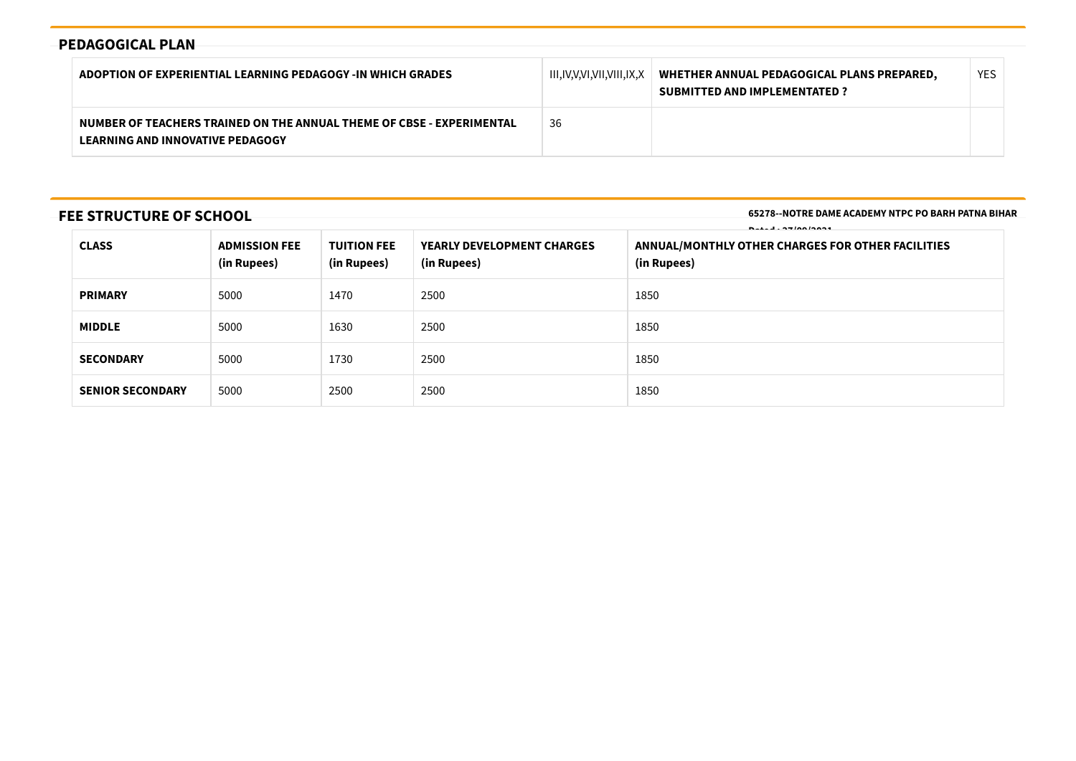# **PEDAGOGICAL PLAN**

| ADOPTION OF EXPERIENTIAL LEARNING PEDAGOGY -IN WHICH GRADES                                                      | III,IV,V,VI,VII,VIII,IX,X | WHETHER ANNUAL PEDAGOGICAL PLANS PREPARED.<br><b>SUBMITTED AND IMPLEMENTATED?</b> | YES |
|------------------------------------------------------------------------------------------------------------------|---------------------------|-----------------------------------------------------------------------------------|-----|
| NUMBER OF TEACHERS TRAINED ON THE ANNUAL THEME OF CBSE - EXPERIMENTAL<br><b>LEARNING AND INNOVATIVE PEDAGOGY</b> | 36                        |                                                                                   |     |

# **FEE STRUCTURE OF SCHOOL**

**65278--NOTRE DAME ACADEMY NTPC PO BARH PATNA BIHAR**

| $\blacksquare$ $\blacksquare$ $\blacksquare$ $\blacksquare$ $\blacksquare$ $\blacksquare$ $\blacksquare$ $\blacksquare$ $\blacksquare$ $\blacksquare$ $\blacksquare$ $\blacksquare$ $\blacksquare$ $\blacksquare$ |                                     |                                   |                                                  |                                                                  |
|-------------------------------------------------------------------------------------------------------------------------------------------------------------------------------------------------------------------|-------------------------------------|-----------------------------------|--------------------------------------------------|------------------------------------------------------------------|
| <b>CLASS</b>                                                                                                                                                                                                      | <b>ADMISSION FEE</b><br>(in Rupees) | <b>TUITION FEE</b><br>(in Rupees) | <b>YEARLY DEVELOPMENT CHARGES</b><br>(in Rupees) | ANNUAL/MONTHLY OTHER CHARGES FOR OTHER FACILITIES<br>(in Rupees) |
| <b>PRIMARY</b>                                                                                                                                                                                                    | 5000                                | 1470                              | 2500                                             | 1850                                                             |
| <b>MIDDLE</b>                                                                                                                                                                                                     | 5000                                | 1630                              | 2500                                             | 1850                                                             |
| <b>SECONDARY</b>                                                                                                                                                                                                  | 5000                                | 1730                              | 2500                                             | 1850                                                             |
| <b>SENIOR SECONDARY</b>                                                                                                                                                                                           | 5000                                | 2500                              | 2500                                             | 1850                                                             |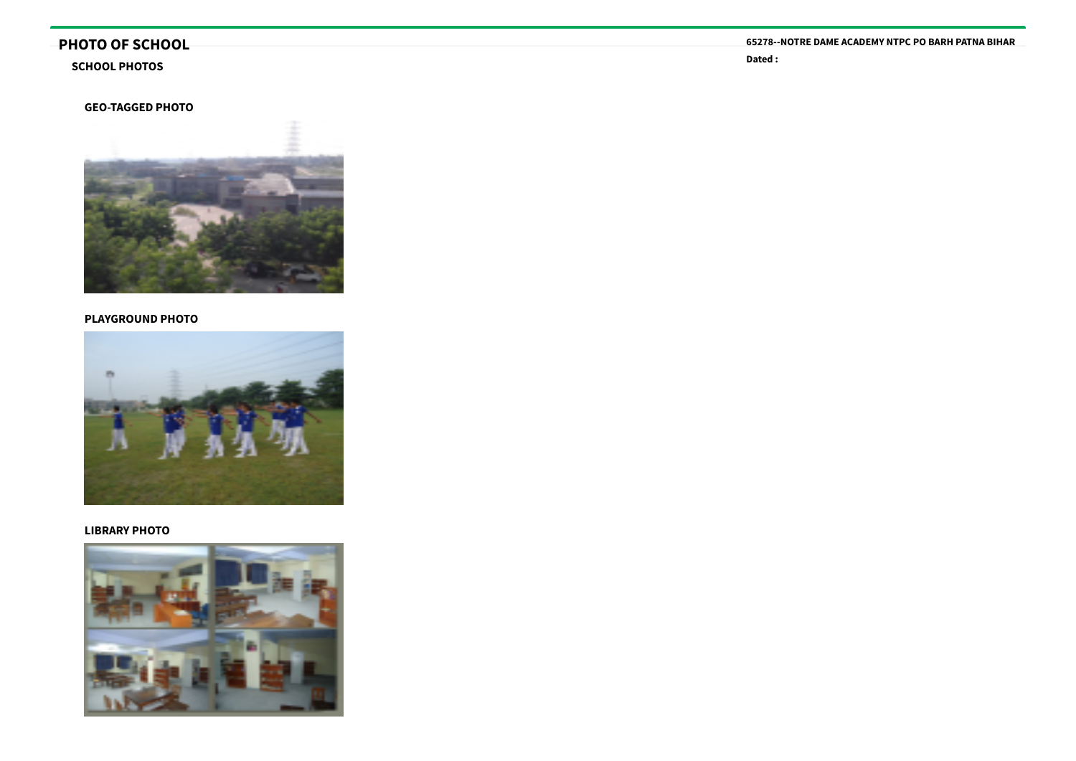# **PHOTO OF SCHOOL**

#### **SCHOOL PHOTOS**

#### **GEO-TAGGED PHOTO**



#### **PLAYGROUND PHOTO**



#### **LIBRARY PHOTO**



**65278--NOTRE DAME ACADEMY NTPC PO BARH PATNA BIHAR**

**Dated :**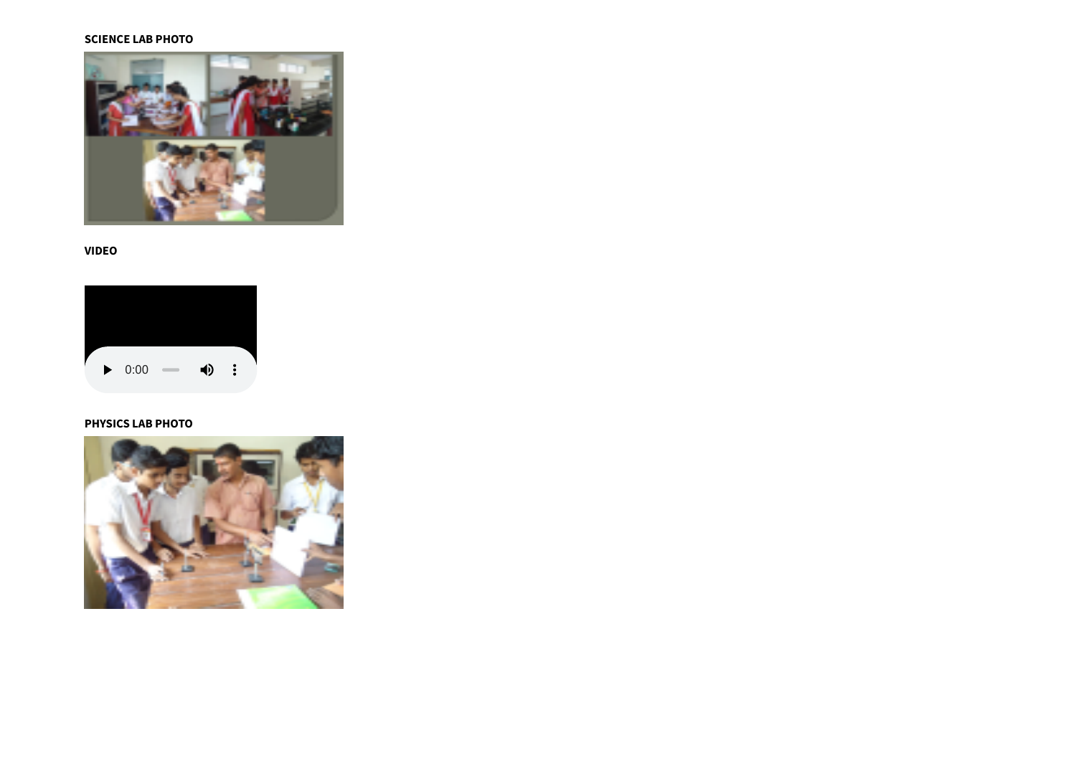#### **SCIENCE LAB PHOTO**



#### **VIDEO**



### **PHYSICS LAB PHOTO**

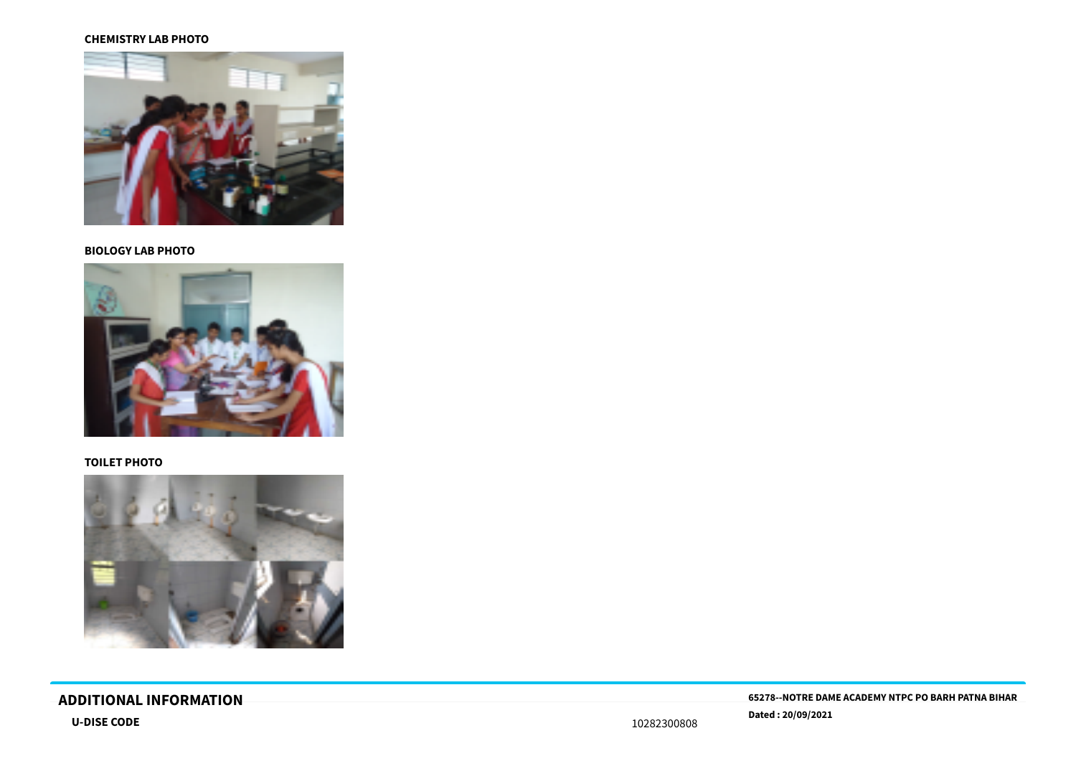#### **CHEMISTRY LAB PHOTO**



### **BIOLOGY LAB PHOTO**



#### **TOILET PHOTO**



# **Dated : 20/09/2021 U-DISE CODE** <sup>10282300808</sup>

**ADDITIONAL INFORMATION 65278--NOTRE DAME ACADEMY NTPC PO BARH PATNA BIHAR**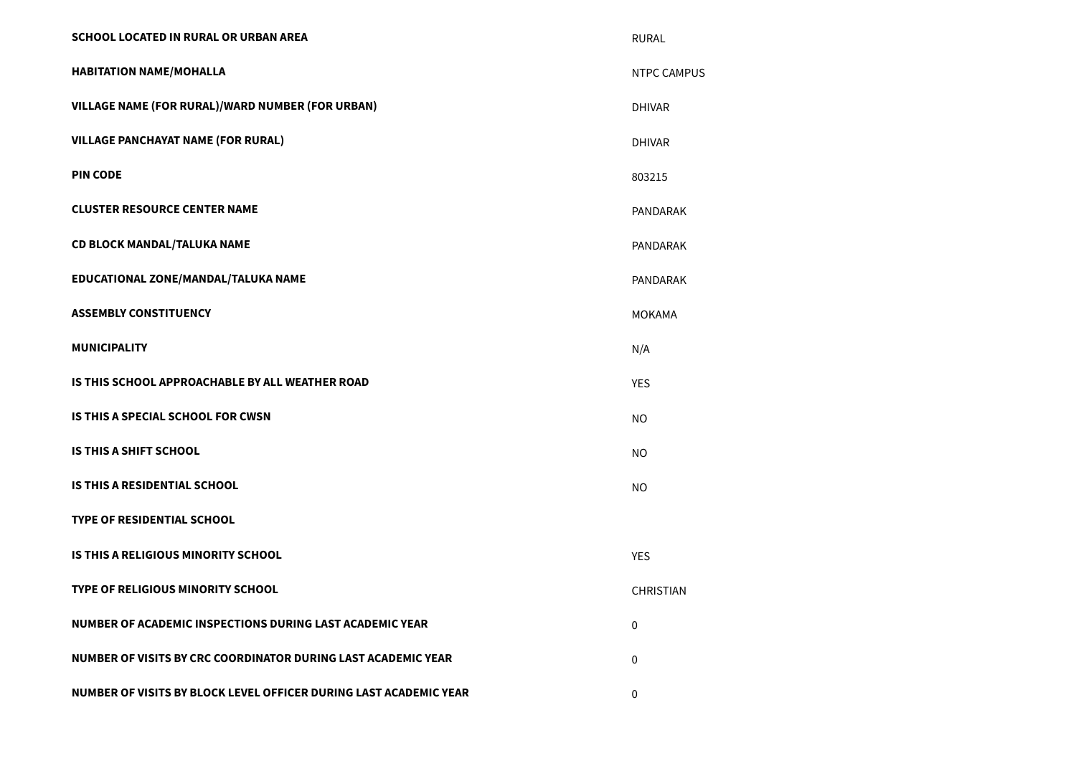| SCHOOL LOCATED IN RURAL OR URBAN AREA                             | <b>RURAL</b>       |
|-------------------------------------------------------------------|--------------------|
| <b>HABITATION NAME/MOHALLA</b>                                    | <b>NTPC CAMPUS</b> |
| VILLAGE NAME (FOR RURAL)/WARD NUMBER (FOR URBAN)                  | <b>DHIVAR</b>      |
| <b>VILLAGE PANCHAYAT NAME (FOR RURAL)</b>                         | <b>DHIVAR</b>      |
| <b>PIN CODE</b>                                                   | 803215             |
| <b>CLUSTER RESOURCE CENTER NAME</b>                               | PANDARAK           |
| <b>CD BLOCK MANDAL/TALUKA NAME</b>                                | PANDARAK           |
| EDUCATIONAL ZONE/MANDAL/TALUKA NAME                               | PANDARAK           |
| <b>ASSEMBLY CONSTITUENCY</b>                                      | <b>MOKAMA</b>      |
| <b>MUNICIPALITY</b>                                               | N/A                |
| IS THIS SCHOOL APPROACHABLE BY ALL WEATHER ROAD                   | <b>YES</b>         |
| <b>IS THIS A SPECIAL SCHOOL FOR CWSN</b>                          | <b>NO</b>          |
| <b>IS THIS A SHIFT SCHOOL</b>                                     | <b>NO</b>          |
| <b>IS THIS A RESIDENTIAL SCHOOL</b>                               | <b>NO</b>          |
| <b>TYPE OF RESIDENTIAL SCHOOL</b>                                 |                    |
| IS THIS A RELIGIOUS MINORITY SCHOOL                               | <b>YES</b>         |
| <b>TYPE OF RELIGIOUS MINORITY SCHOOL</b>                          | <b>CHRISTIAN</b>   |
| NUMBER OF ACADEMIC INSPECTIONS DURING LAST ACADEMIC YEAR          | $\mathbf 0$        |
| NUMBER OF VISITS BY CRC COORDINATOR DURING LAST ACADEMIC YEAR     | $\mathbf 0$        |
| NUMBER OF VISITS BY BLOCK LEVEL OFFICER DURING LAST ACADEMIC YEAR | 0                  |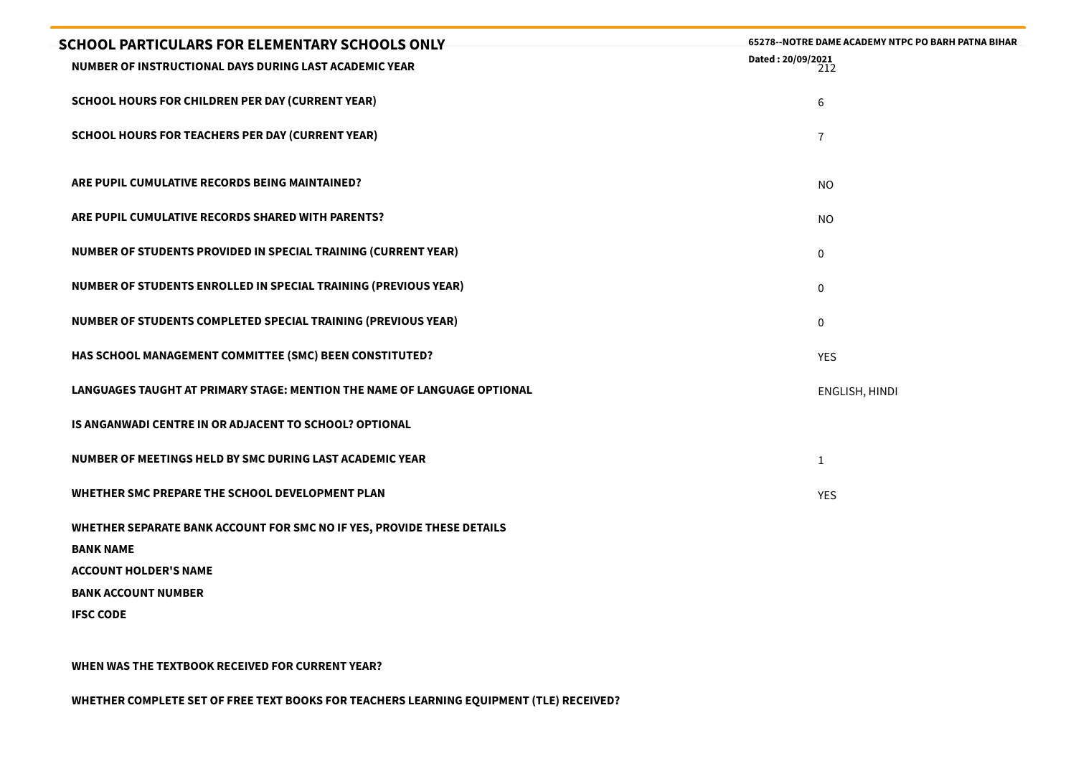| <b>SCHOOL PARTICULARS FOR ELEMENTARY SCHOOLS ONLY</b>                                      | 65278--NOTRE DAME ACADEMY NTPC PO BARH PATNA BIHAR |
|--------------------------------------------------------------------------------------------|----------------------------------------------------|
| NUMBER OF INSTRUCTIONAL DAYS DURING LAST ACADEMIC YEAR                                     | Dated: 20/09/2021<br>212                           |
| <b>SCHOOL HOURS FOR CHILDREN PER DAY (CURRENT YEAR)</b>                                    | 6                                                  |
| <b>SCHOOL HOURS FOR TEACHERS PER DAY (CURRENT YEAR)</b>                                    | $\overline{7}$                                     |
|                                                                                            |                                                    |
| ARE PUPIL CUMULATIVE RECORDS BEING MAINTAINED?                                             | <b>NO</b>                                          |
| ARE PUPIL CUMULATIVE RECORDS SHARED WITH PARENTS?                                          | <b>NO</b>                                          |
| NUMBER OF STUDENTS PROVIDED IN SPECIAL TRAINING (CURRENT YEAR)                             | $\mathbf 0$                                        |
| NUMBER OF STUDENTS ENROLLED IN SPECIAL TRAINING (PREVIOUS YEAR)                            | $\mathbf 0$                                        |
| NUMBER OF STUDENTS COMPLETED SPECIAL TRAINING (PREVIOUS YEAR)                              | $\mathbf 0$                                        |
| HAS SCHOOL MANAGEMENT COMMITTEE (SMC) BEEN CONSTITUTED?                                    | <b>YES</b>                                         |
| LANGUAGES TAUGHT AT PRIMARY STAGE: MENTION THE NAME OF LANGUAGE OPTIONAL                   | ENGLISH, HINDI                                     |
| IS ANGANWADI CENTRE IN OR ADJACENT TO SCHOOL? OPTIONAL                                     |                                                    |
| NUMBER OF MEETINGS HELD BY SMC DURING LAST ACADEMIC YEAR                                   | $\mathbf{1}$                                       |
| WHETHER SMC PREPARE THE SCHOOL DEVELOPMENT PLAN                                            | <b>YES</b>                                         |
| WHETHER SEPARATE BANK ACCOUNT FOR SMC NO IF YES, PROVIDE THESE DETAILS<br><b>BANK NAME</b> |                                                    |
| <b>ACCOUNT HOLDER'S NAME</b>                                                               |                                                    |
| <b>BANK ACCOUNT NUMBER</b>                                                                 |                                                    |
| <b>IFSC CODE</b>                                                                           |                                                    |
|                                                                                            |                                                    |

**WHEN WAS THE TEXTBOOK RECEIVED FOR CURRENT YEAR?**

**WHETHER COMPLETE SET OF FREE TEXT BOOKS FOR TEACHERS LEARNING EQUIPMENT (TLE) RECEIVED?**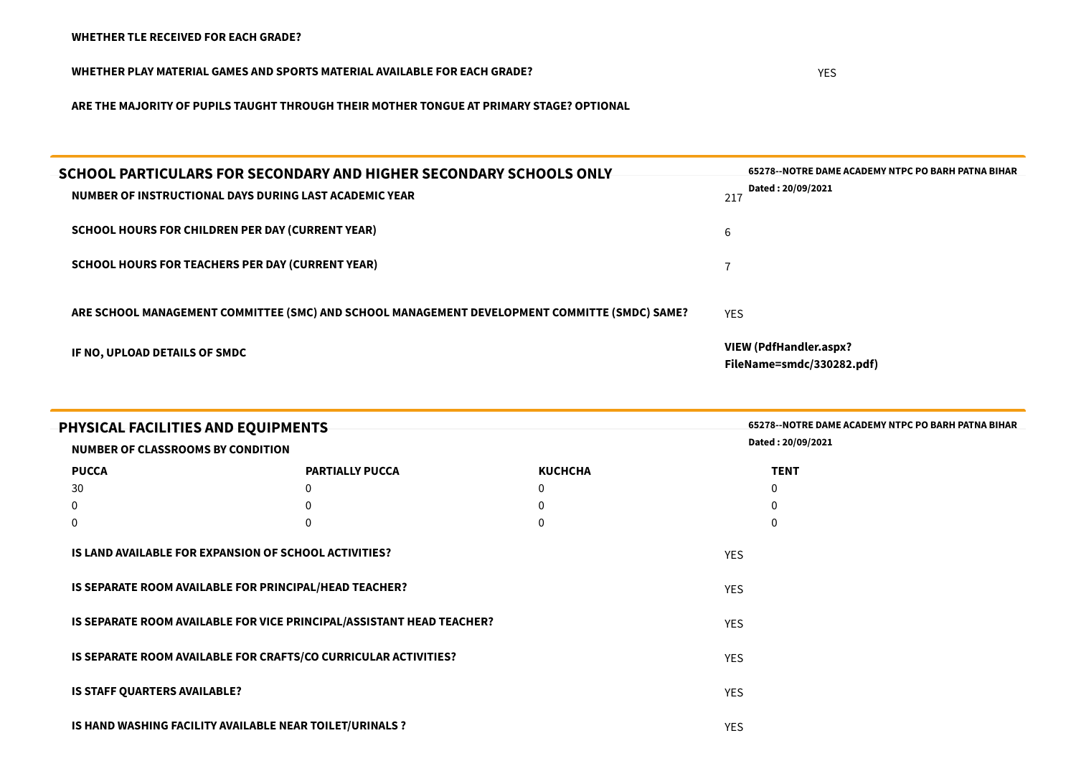**WHETHER PLAY MATERIAL GAMES AND SPORTS MATERIAL AVAILABLE FOR EACH GRADE?** YES

**ARE THE MAJORITY OF PUPILS TAUGHT THROUGH THEIR MOTHER TONGUE AT PRIMARY STAGE? OPTIONAL**

| SCHOOL PARTICULARS FOR SECONDARY AND HIGHER SECONDARY SCHOOLS ONLY<br>NUMBER OF INSTRUCTIONAL DAYS DURING LAST ACADEMIC YEAR | 65278--NOTRE DAME ACADEMY NTPC PO BARH PATNA BIHAR<br>Dated: 20/09/2021<br>217 |
|------------------------------------------------------------------------------------------------------------------------------|--------------------------------------------------------------------------------|
| <b>SCHOOL HOURS FOR CHILDREN PER DAY (CURRENT YEAR)</b>                                                                      | b                                                                              |
| SCHOOL HOURS FOR TEACHERS PER DAY (CURRENT YEAR)                                                                             |                                                                                |
| ARE SCHOOL MANAGEMENT COMMITTEE (SMC) AND SCHOOL MANAGEMENT DEVELOPMENT COMMITTE (SMDC) SAME?                                | <b>YES</b>                                                                     |
| IF NO, UPLOAD DETAILS OF SMDC                                                                                                | <b>VIEW (PdfHandler.aspx?</b><br>FileName=smdc/330282.pdf)                     |

| PHYSICAL FACILITIES AND EQUIPMENTS<br><b>NUMBER OF CLASSROOMS BY CONDITION</b> |                                                                       |                | <b>65278--NOTRE DAME ACADEMY NTPC PO BARH PATNA BIHAR</b><br>Dated: 20/09/2021 |  |
|--------------------------------------------------------------------------------|-----------------------------------------------------------------------|----------------|--------------------------------------------------------------------------------|--|
| <b>PUCCA</b>                                                                   | <b>PARTIALLY PUCCA</b>                                                | <b>KUCHCHA</b> | <b>TENT</b>                                                                    |  |
| 30                                                                             | 0                                                                     | 0              | $\mathbf 0$                                                                    |  |
| 0                                                                              | $\Omega$                                                              | 0              | $\mathbf 0$                                                                    |  |
| 0                                                                              | $\theta$                                                              | 0              | 0                                                                              |  |
|                                                                                | IS LAND AVAILABLE FOR EXPANSION OF SCHOOL ACTIVITIES?                 |                | <b>YES</b>                                                                     |  |
|                                                                                | IS SEPARATE ROOM AVAILABLE FOR PRINCIPAL/HEAD TEACHER?                |                | <b>YES</b>                                                                     |  |
|                                                                                | IS SEPARATE ROOM AVAILABLE FOR VICE PRINCIPAL/ASSISTANT HEAD TEACHER? |                | <b>YES</b>                                                                     |  |
|                                                                                | IS SEPARATE ROOM AVAILABLE FOR CRAFTS/CO CURRICULAR ACTIVITIES?       |                | <b>YES</b>                                                                     |  |
| <b>IS STAFF QUARTERS AVAILABLE?</b>                                            |                                                                       |                | <b>YES</b>                                                                     |  |
|                                                                                | IS HAND WASHING FACILITY AVAILABLE NEAR TOILET/URINALS ?              |                | <b>YES</b>                                                                     |  |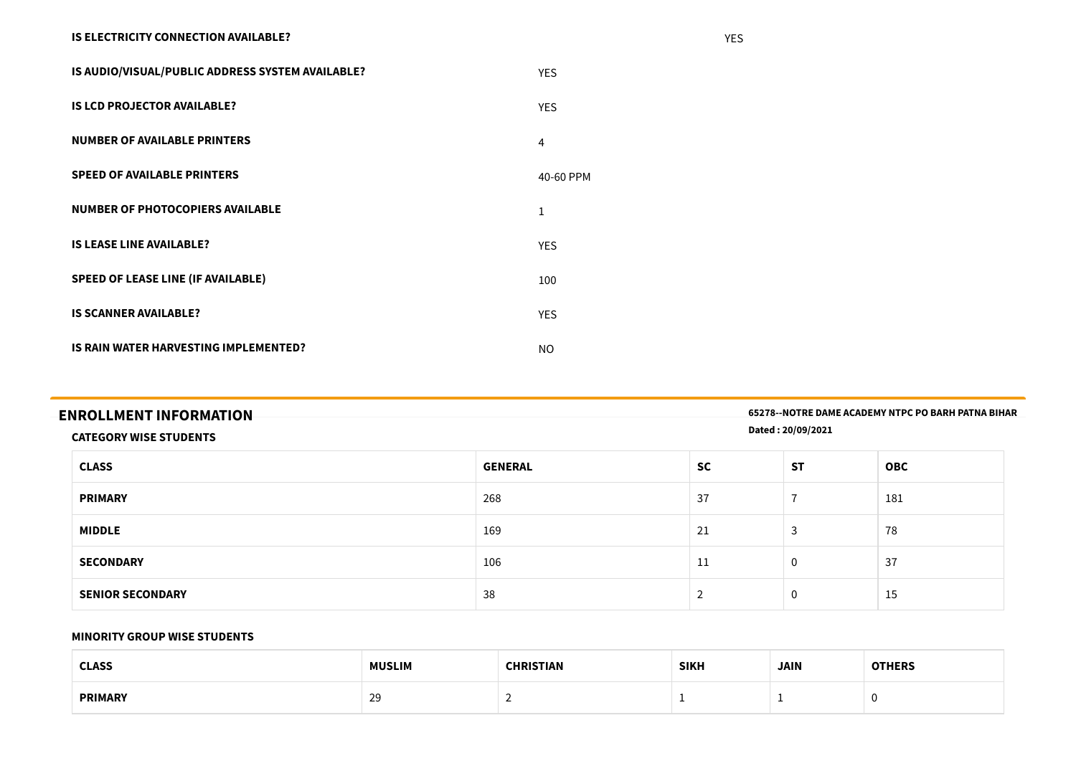### **IS ELECTRICITY CONNECTION AVAILABLE?** YES

| IS AUDIO/VISUAL/PUBLIC ADDRESS SYSTEM AVAILABLE? | <b>YES</b> |
|--------------------------------------------------|------------|
| <b>IS LCD PROJECTOR AVAILABLE?</b>               | <b>YES</b> |
| <b>NUMBER OF AVAILABLE PRINTERS</b>              | 4          |
| <b>SPEED OF AVAILABLE PRINTERS</b>               | 40-60 PPM  |
| NUMBER OF PHOTOCOPIERS AVAILABLE                 | Ŧ          |
| <b>IS LEASE LINE AVAILABLE?</b>                  | <b>YES</b> |
| <b>SPEED OF LEASE LINE (IF AVAILABLE)</b>        | 100        |
| <b>IS SCANNER AVAILABLE?</b>                     | <b>YES</b> |
| IS RAIN WATER HARVESTING IMPLEMENTED?            | <b>NO</b>  |

| <b>ENROLLMENT INFORMATION</b> | 65278--NOTRE DAME ACADEMY NTPC PO BARH PATNA BIHAR |
|-------------------------------|----------------------------------------------------|
| <b>CATEGORY WISE STUDENTS</b> | Dated: 20/09/2021                                  |

| <b>CLASS</b>            | <b>GENERAL</b> | <b>SC</b>                | <b>ST</b>                | <b>OBC</b> |
|-------------------------|----------------|--------------------------|--------------------------|------------|
| <b>PRIMARY</b>          | 268            | 37                       | $\overline{\phantom{0}}$ | 181        |
| <b>MIDDLE</b>           | 169            | 21                       | $\mathbf{\hat{}}$<br>د.  | 78         |
| <b>SECONDARY</b>        | 106            | 11                       | $\mathbf 0$              | 37         |
| <b>SENIOR SECONDARY</b> | 38             | $\overline{\phantom{0}}$ | $\mathbf 0$              | 15         |

#### **MINORITY GROUP WISE STUDENTS**

| CLASS<br>しレハココ<br>. | <b>MUSLIM</b> | DICTIAN<br>---- | <b>SIKH</b> | <b>JAIN</b> | ------ |
|---------------------|---------------|-----------------|-------------|-------------|--------|
| <b>PRIMARY</b>      | 29            | -               |             |             |        |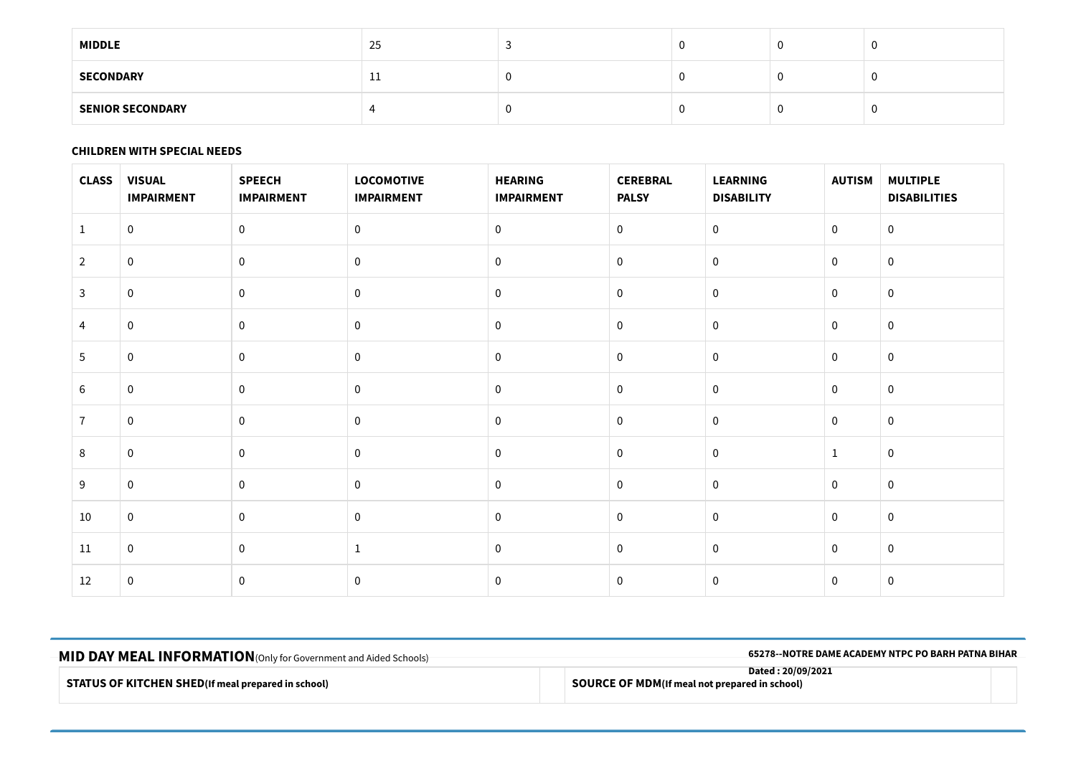| <b>MIDDLE</b>           | 25 |  | v  | v |
|-------------------------|----|--|----|---|
| <b>SECONDARY</b>        | ᆠᆂ |  |    | v |
| <b>SENIOR SECONDARY</b> |    |  | J. | v |

### **CHILDREN WITH SPECIAL NEEDS**

| <b>CLASS</b>   | <b>VISUAL</b><br><b>IMPAIRMENT</b> | <b>SPEECH</b><br><b>IMPAIRMENT</b> | <b>LOCOMOTIVE</b><br><b>IMPAIRMENT</b> | <b>HEARING</b><br><b>IMPAIRMENT</b> | <b>CEREBRAL</b><br><b>PALSY</b> | <b>LEARNING</b><br><b>DISABILITY</b> | <b>AUTISM</b> | <b>MULTIPLE</b><br><b>DISABILITIES</b> |
|----------------|------------------------------------|------------------------------------|----------------------------------------|-------------------------------------|---------------------------------|--------------------------------------|---------------|----------------------------------------|
| 1              | $\overline{0}$                     | $\mathbf 0$                        | $\mathbf 0$                            | $\mathbf 0$                         | $\mathbf 0$                     | $\mathbf 0$                          | $\mathbf 0$   | $\mathbf 0$                            |
| $\overline{2}$ | $\pmb{0}$                          | $\mathbf 0$                        | $\mathbf 0$                            | $\mathbf 0$                         | $\pmb{0}$                       | $\mathbf 0$                          | $\mathbf 0$   | $\mathbf 0$                            |
| $\overline{3}$ | $\mathbf 0$                        | $\mathbf 0$                        | $\mathbf 0$                            | $\mathbf 0$                         | $\mathbf 0$                     | $\mathbf 0$                          | $\mathbf 0$   | $\mathbf 0$                            |
| 4              | $\pmb{0}$                          | $\mathbf 0$                        | $\pmb{0}$                              | $\pmb{0}$                           | $\pmb{0}$                       | $\boldsymbol{0}$                     | $\mathbf 0$   | $\pmb{0}$                              |
| 5              | $\mathbf 0$                        | 0                                  | $\mathbf 0$                            | $\mathbf 0$                         | $\mathbf 0$                     | $\mathbf 0$                          | $\mathbf 0$   | $\mathbf 0$                            |
| 6              | $\pmb{0}$                          | $\mathbf 0$                        | $\mathbf 0$                            | $\mathbf 0$                         | $\pmb{0}$                       | $\mathbf 0$                          | $\mathbf{0}$  | $\mathbf 0$                            |
| $\overline{7}$ | $\mathbf 0$                        | $\mathbf 0$                        | $\mathbf 0$                            | $\pmb{0}$                           | $\mathbf 0$                     | $\mathbf 0$                          | $\mathbf 0$   | $\mathbf 0$                            |
| 8              | $\pmb{0}$                          | $\mathbf 0$                        | $\mathbf 0$                            | $\pmb{0}$                           | $\pmb{0}$                       | $\mathbf 0$                          | $\mathbf{1}$  | $\pmb{0}$                              |
| 9              | $\mathbf 0$                        | $\mathbf 0$                        | $\mathbf 0$                            | $\mathbf 0$                         | $\mathbf 0$                     | $\mathbf 0$                          | $\mathbf 0$   | $\mathbf 0$                            |
| 10             | $\mathbf 0$                        | $\mathbf 0$                        | $\mathbf 0$                            | $\mathbf 0$                         | $\mathbf 0$                     | $\mathbf 0$                          | $\mathbf{0}$  | $\mathbf 0$                            |
| 11             | $\mathbf 0$                        | $\mathbf 0$                        | $\mathbf{1}$                           | $\pmb{0}$                           | $\mathbf 0$                     | $\mathbf 0$                          | $\mathbf 0$   | $\mathbf 0$                            |
| 12             | $\mathbf 0$                        | $\mathbf 0$                        | $\bf{0}$                               | $\pmb{0}$                           | $\pmb{0}$                       | $\mathbf 0$                          | $\mathbf 0$   | $\mathbf 0$                            |

| -MID DAY MEAL INFORMATION (Only for Government and Aided Schools) | 65278--NOTRE DAME ACADEMY NTPC PO BARH PATNA BIHAR                         |
|-------------------------------------------------------------------|----------------------------------------------------------------------------|
| <b>STATUS OF KITCHEN SHED</b> (If meal prepared in school)        | Dated: 20/09/2021<br><b>SOURCE OF MDM</b> (If meal not prepared in school) |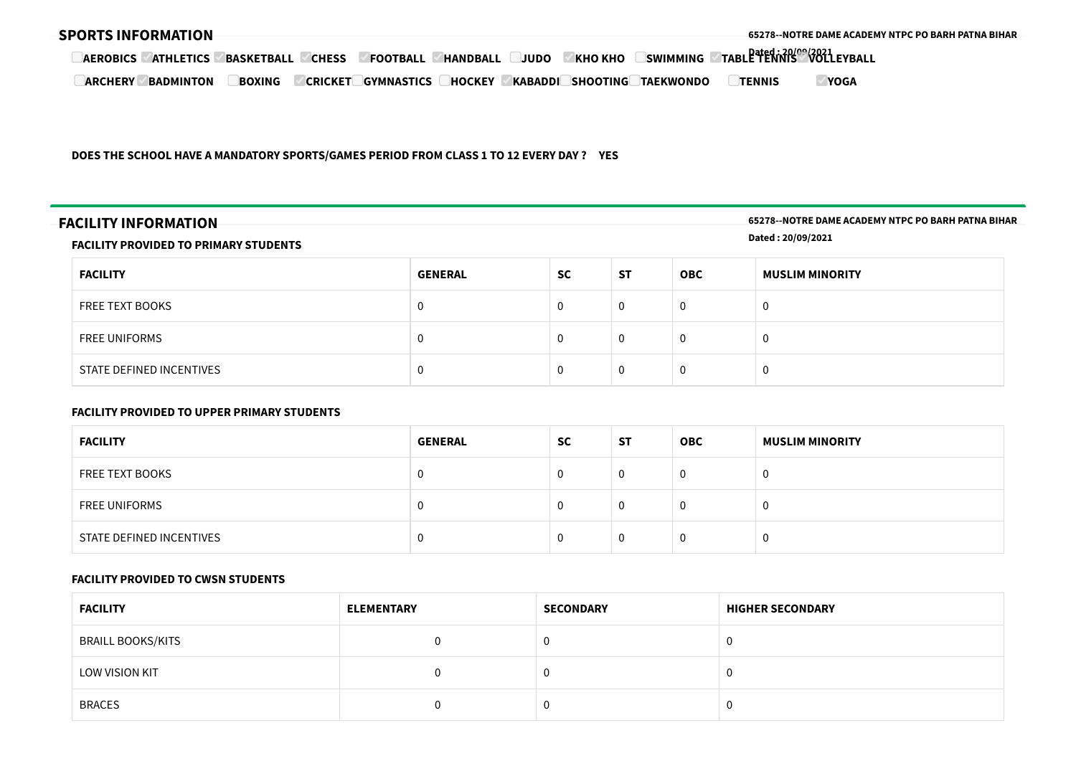| <b>SPORTS INFORMATION</b>           |                   |                |                   |                |         |                 |                  |                                            |             | -65278--NOTRE DAME ACADEMY NTPC PO BARH PATNA BIHAR- |
|-------------------------------------|-------------------|----------------|-------------------|----------------|---------|-----------------|------------------|--------------------------------------------|-------------|------------------------------------------------------|
| <b>ATHLETICS</b><br><b>AEROBICS</b> | <b>BASKETBALL</b> | <b>CHESS</b>   | <b>FOOTBALL</b>   | <b>HANDBAL</b> | JUDO    | <b>KHO KHO</b>  | <b>SWIMMING</b>  | <b>TABLE TENNIS<sup>00</sup>VOLLEYBALL</b> |             |                                                      |
| <b>ARCHERY</b><br><b>BADMINTON</b>  | <b>BOXING</b>     | <b>CRICKET</b> | <b>GYMNASTICS</b> | <b>HOCKEY</b>  | KABADDI | <b>SHOOTING</b> | <b>TAEKWONDO</b> | <b>TENNIS</b>                              | <b>YOGA</b> |                                                      |

**DOES THE SCHOOL HAVE A MANDATORY SPORTS/GAMES PERIOD FROM CLASS 1 TO 12 EVERY DAY ? YES**

**FACILITY INFORMATION 65278--NOTRE DAME ACADEMY NTPC PO BARH PATNA BIHAR Dated : 20/09/2021**

#### **FACILITY PROVIDED TO PRIMARY STUDENTS**

| <b>FACILITY</b>          | <b>GENERAL</b> | <b>SC</b> | <b>ST</b> | <b>OBC</b> | <b>MUSLIM MINORITY</b> |
|--------------------------|----------------|-----------|-----------|------------|------------------------|
| FREE TEXT BOOKS          | 0              |           | $\Omega$  | 0          | 0                      |
| FREE UNIFORMS            | 0              |           | 0         | 0          | 0                      |
| STATE DEFINED INCENTIVES | 0              |           | 0         | 0          | 0                      |
|                          |                |           |           |            |                        |

#### **FACILITY PROVIDED TO UPPER PRIMARY STUDENTS**

| <b>FACILITY</b>          | <b>GENERAL</b> | <b>SC</b> | <b>ST</b> | <b>OBC</b> | <b>MUSLIM MINORITY</b> |
|--------------------------|----------------|-----------|-----------|------------|------------------------|
| <b>FREE TEXT BOOKS</b>   | $\mathbf{0}$   |           | 0         |            |                        |
| <b>FREE UNIFORMS</b>     | 0              |           | 0         |            |                        |
| STATE DEFINED INCENTIVES | $\mathbf 0$    | u         | 0         |            | U                      |

#### **FACILITY PROVIDED TO CWSN STUDENTS**

| <b>FACILITY</b>          | <b>ELEMENTARY</b> | <b>SECONDARY</b> | <b>HIGHER SECONDARY</b> |
|--------------------------|-------------------|------------------|-------------------------|
| <b>BRAILL BOOKS/KITS</b> |                   | 0                |                         |
| LOW VISION KIT           |                   | 0                |                         |
| <b>BRACES</b>            |                   | 0                |                         |